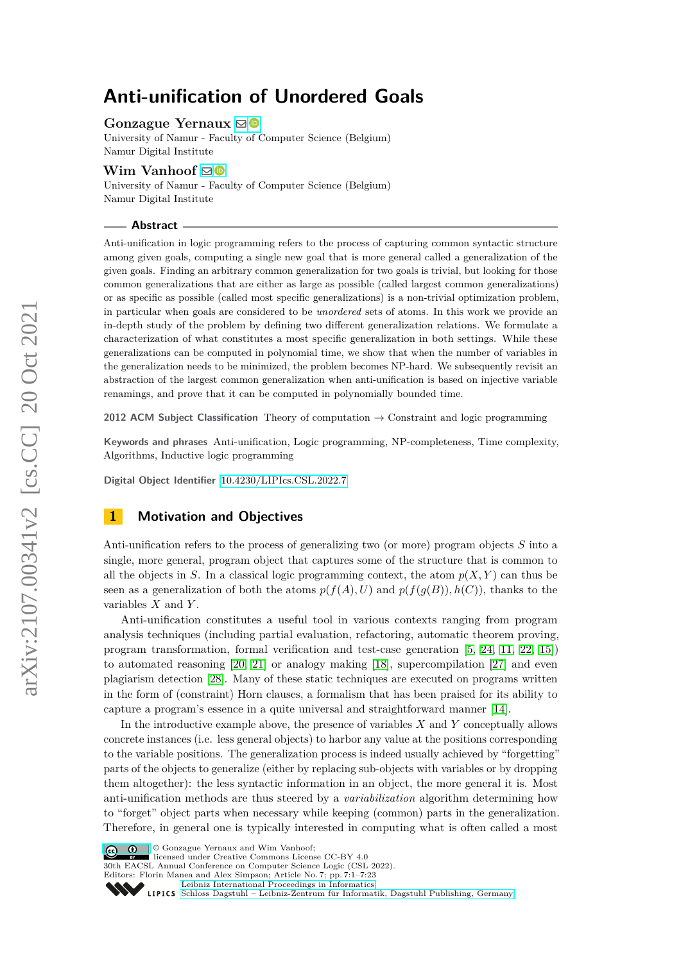# **Anti-unification of Unordered Goals**

## **Gonzague Yernaux** [!](mailto:gonzague.yernaux@unamur.be)

University of Namur - Faculty of Computer Science (Belgium) Namur Digital Institute

## **Wim Vanhoof** ⊠<sup>®</sup>

University of Namur - Faculty of Computer Science (Belgium) Namur Digital Institute

#### **Abstract**

Anti-unification in logic programming refers to the process of capturing common syntactic structure among given goals, computing a single new goal that is more general called a generalization of the given goals. Finding an arbitrary common generalization for two goals is trivial, but looking for those common generalizations that are either as large as possible (called largest common generalizations) or as specific as possible (called most specific generalizations) is a non-trivial optimization problem, in particular when goals are considered to be *unordered* sets of atoms. In this work we provide an in-depth study of the problem by defining two different generalization relations. We formulate a characterization of what constitutes a most specific generalization in both settings. While these generalizations can be computed in polynomial time, we show that when the number of variables in the generalization needs to be minimized, the problem becomes NP-hard. We subsequently revisit an abstraction of the largest common generalization when anti-unification is based on injective variable renamings, and prove that it can be computed in polynomially bounded time.

**2012 ACM Subject Classification** Theory of computation → Constraint and logic programming

**Keywords and phrases** Anti-unification, Logic programming, NP-completeness, Time complexity, Algorithms, Inductive logic programming

**Digital Object Identifier** [10.4230/LIPIcs.CSL.2022.7](https://doi.org/10.4230/LIPIcs.CSL.2022.7)

# **1 Motivation and Objectives**

Anti-unification refers to the process of generalizing two (or more) program objects *S* into a single, more general, program object that captures some of the structure that is common to all the objects in *S*. In a classical logic programming context, the atom  $p(X, Y)$  can thus be seen as a generalization of both the atoms  $p(f(A), U)$  and  $p(f(q(B)), h(C))$ , thanks to the variables *X* and *Y* .

Anti-unification constitutes a useful tool in various contexts ranging from program analysis techniques (including partial evaluation, refactoring, automatic theorem proving, program transformation, formal verification and test-case generation [\[5,](#page-15-0) [24,](#page-16-0) [11,](#page-15-1) [22,](#page-16-1) [15\]](#page-15-2)) to automated reasoning [\[20,](#page-16-2) [21\]](#page-16-3) or analogy making [\[18\]](#page-16-4), supercompilation [\[27\]](#page-16-5) and even plagiarism detection [\[28\]](#page-16-6). Many of these static techniques are executed on programs written in the form of (constraint) Horn clauses, a formalism that has been praised for its ability to capture a program's essence in a quite universal and straightforward manner [\[14\]](#page-15-3).

In the introductive example above, the presence of variables *X* and *Y* conceptually allows concrete instances (i.e. less general objects) to harbor any value at the positions corresponding to the variable positions. The generalization process is indeed usually achieved by "forgetting" parts of the objects to generalize (either by replacing sub-objects with variables or by dropping them altogether): the less syntactic information in an object, the more general it is. Most anti-unification methods are thus steered by a *variabilization* algorithm determining how to "forget" object parts when necessary while keeping (common) parts in the generalization. Therefore, in general one is typically interested in computing what is often called a most





30th EACSL Annual Conference on Computer Science Logic (CSL 2022).

Editors: Florin Manea and Alex Simpson; Article No. 7; pp. 7:1–7:23

[Leibniz International Proceedings in Informatics](https://www.dagstuhl.de/lipics/)

[Schloss Dagstuhl – Leibniz-Zentrum für Informatik, Dagstuhl Publishing, Germany](https://www.dagstuhl.de)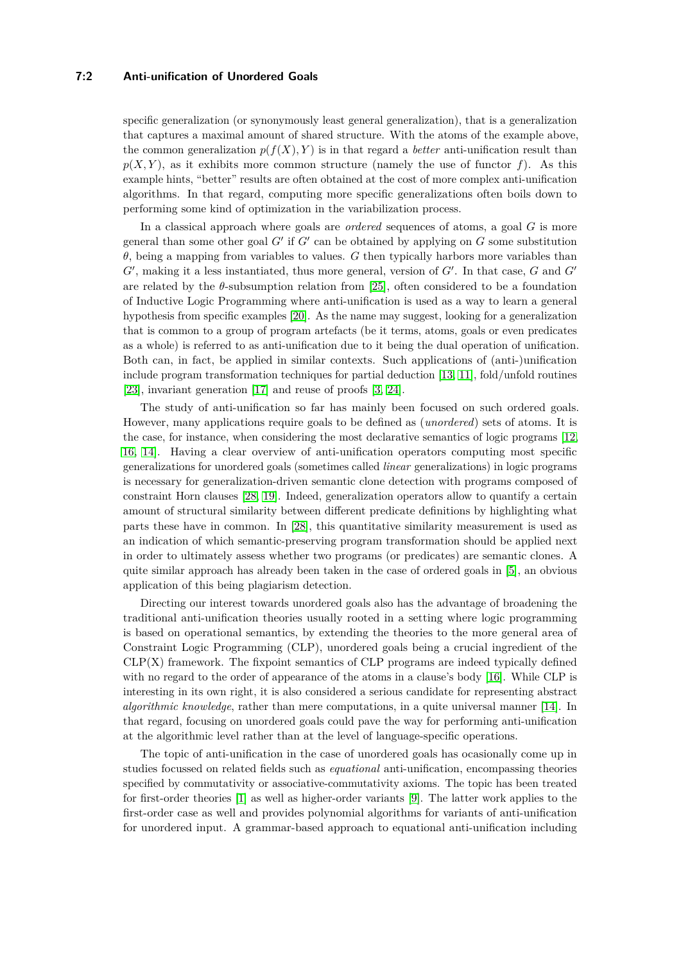## **7:2 Anti-unification of Unordered Goals**

specific generalization (or synonymously least general generalization), that is a generalization that captures a maximal amount of shared structure. With the atoms of the example above, the common generalization  $p(f(X), Y)$  is in that regard a *better* anti-unification result than  $p(X, Y)$ , as it exhibits more common structure (namely the use of functor  $f$ ). As this example hints, "better" results are often obtained at the cost of more complex anti-unification algorithms. In that regard, computing more specific generalizations often boils down to performing some kind of optimization in the variabilization process.

In a classical approach where goals are *ordered* sequences of atoms, a goal *G* is more general than some other goal  $G'$  if  $G'$  can be obtained by applying on  $G$  some substitution *θ*, being a mapping from variables to values. *G* then typically harbors more variables than  $G'$ , making it a less instantiated, thus more general, version of  $G'$ . In that case,  $G$  and  $G'$ are related by the  $\theta$ -subsumption relation from [\[25\]](#page-16-7), often considered to be a foundation of Inductive Logic Programming where anti-unification is used as a way to learn a general hypothesis from specific examples [\[20\]](#page-16-2). As the name may suggest, looking for a generalization that is common to a group of program artefacts (be it terms, atoms, goals or even predicates as a whole) is referred to as anti-unification due to it being the dual operation of unification. Both can, in fact, be applied in similar contexts. Such applications of (anti-)unification include program transformation techniques for partial deduction [\[13,](#page-15-4) [11\]](#page-15-1), fold/unfold routines [\[23\]](#page-16-8), invariant generation [\[17\]](#page-15-5) and reuse of proofs [\[3,](#page-15-6) [24\]](#page-16-0).

The study of anti-unification so far has mainly been focused on such ordered goals. However, many applications require goals to be defined as (*unordered*) sets of atoms. It is the case, for instance, when considering the most declarative semantics of logic programs [\[12,](#page-15-7) [16,](#page-15-8) [14\]](#page-15-3). Having a clear overview of anti-unification operators computing most specific generalizations for unordered goals (sometimes called *linear* generalizations) in logic programs is necessary for generalization-driven semantic clone detection with programs composed of constraint Horn clauses [\[28,](#page-16-6) [19\]](#page-16-9). Indeed, generalization operators allow to quantify a certain amount of structural similarity between different predicate definitions by highlighting what parts these have in common. In [\[28\]](#page-16-6), this quantitative similarity measurement is used as an indication of which semantic-preserving program transformation should be applied next in order to ultimately assess whether two programs (or predicates) are semantic clones. A quite similar approach has already been taken in the case of ordered goals in [\[5\]](#page-15-0), an obvious application of this being plagiarism detection.

Directing our interest towards unordered goals also has the advantage of broadening the traditional anti-unification theories usually rooted in a setting where logic programming is based on operational semantics, by extending the theories to the more general area of Constraint Logic Programming (CLP), unordered goals being a crucial ingredient of the  $CLP(X)$  framework. The fixpoint semantics of  $CLP$  programs are indeed typically defined with no regard to the order of appearance of the atoms in a clause's body [\[16\]](#page-15-8). While CLP is interesting in its own right, it is also considered a serious candidate for representing abstract *algorithmic knowledge*, rather than mere computations, in a quite universal manner [\[14\]](#page-15-3). In that regard, focusing on unordered goals could pave the way for performing anti-unification at the algorithmic level rather than at the level of language-specific operations.

The topic of anti-unification in the case of unordered goals has ocasionally come up in studies focussed on related fields such as *equational* anti-unification, encompassing theories specified by commutativity or associative-commutativity axioms. The topic has been treated for first-order theories [\[1\]](#page-15-9) as well as higher-order variants [\[9\]](#page-15-10). The latter work applies to the first-order case as well and provides polynomial algorithms for variants of anti-unification for unordered input. A grammar-based approach to equational anti-unification including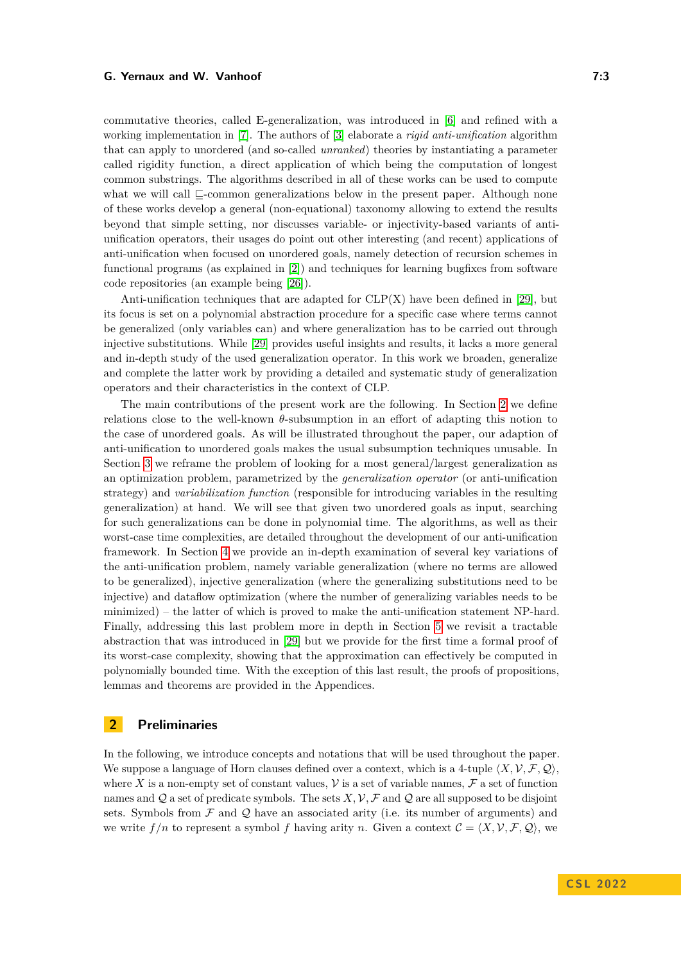commutative theories, called E-generalization, was introduced in [\[6\]](#page-15-11) and refined with a working implementation in [\[7\]](#page-15-12). The authors of [\[3\]](#page-15-6) elaborate a *rigid anti-unification* algorithm that can apply to unordered (and so-called *unranked*) theories by instantiating a parameter called rigidity function, a direct application of which being the computation of longest common substrings. The algorithms described in all of these works can be used to compute what we will call  $\Box$ -common generalizations below in the present paper. Although none of these works develop a general (non-equational) taxonomy allowing to extend the results beyond that simple setting, nor discusses variable- or injectivity-based variants of antiunification operators, their usages do point out other interesting (and recent) applications of anti-unification when focused on unordered goals, namely detection of recursion schemes in functional programs (as explained in [\[2\]](#page-15-13)) and techniques for learning bugfixes from software code repositories (an example being [\[26\]](#page-16-10)).

Anti-unification techniques that are adapted for  $CLP(X)$  have been defined in [\[29\]](#page-16-11), but its focus is set on a polynomial abstraction procedure for a specific case where terms cannot be generalized (only variables can) and where generalization has to be carried out through injective substitutions. While [\[29\]](#page-16-11) provides useful insights and results, it lacks a more general and in-depth study of the used generalization operator. In this work we broaden, generalize and complete the latter work by providing a detailed and systematic study of generalization operators and their characteristics in the context of CLP.

The main contributions of the present work are the following. In Section [2](#page-2-0) we define relations close to the well-known *θ*-subsumption in an effort of adapting this notion to the case of unordered goals. As will be illustrated throughout the paper, our adaption of anti-unification to unordered goals makes the usual subsumption techniques unusable. In Section [3](#page-5-0) we reframe the problem of looking for a most general/largest generalization as an optimization problem, parametrized by the *generalization operator* (or anti-unification strategy) and *variabilization function* (responsible for introducing variables in the resulting generalization) at hand. We will see that given two unordered goals as input, searching for such generalizations can be done in polynomial time. The algorithms, as well as their worst-case time complexities, are detailed throughout the development of our anti-unification framework. In Section [4](#page-8-0) we provide an in-depth examination of several key variations of the anti-unification problem, namely variable generalization (where no terms are allowed to be generalized), injective generalization (where the generalizing substitutions need to be injective) and dataflow optimization (where the number of generalizing variables needs to be minimized) – the latter of which is proved to make the anti-unification statement NP-hard. Finally, addressing this last problem more in depth in Section [5](#page-9-0) we revisit a tractable abstraction that was introduced in [\[29\]](#page-16-11) but we provide for the first time a formal proof of its worst-case complexity, showing that the approximation can effectively be computed in polynomially bounded time. With the exception of this last result, the proofs of propositions, lemmas and theorems are provided in the Appendices.

# <span id="page-2-0"></span>**2 Preliminaries**

In the following, we introduce concepts and notations that will be used throughout the paper. We suppose a language of Horn clauses defined over a context, which is a 4-tuple  $\langle X, V, \mathcal{F}, \mathcal{Q} \rangle$ , where X is a non-empty set of constant values,  $\mathcal V$  is a set of variable names,  $\mathcal F$  a set of function names and  $Q$  a set of predicate symbols. The sets  $X, V, F$  and  $Q$  are all supposed to be disjoint sets. Symbols from  $\mathcal F$  and  $\mathcal Q$  have an associated arity (i.e. its number of arguments) and we write  $f/n$  to represent a symbol f having arity *n*. Given a context  $\mathcal{C} = \langle X, \mathcal{V}, \mathcal{F}, \mathcal{Q} \rangle$ , we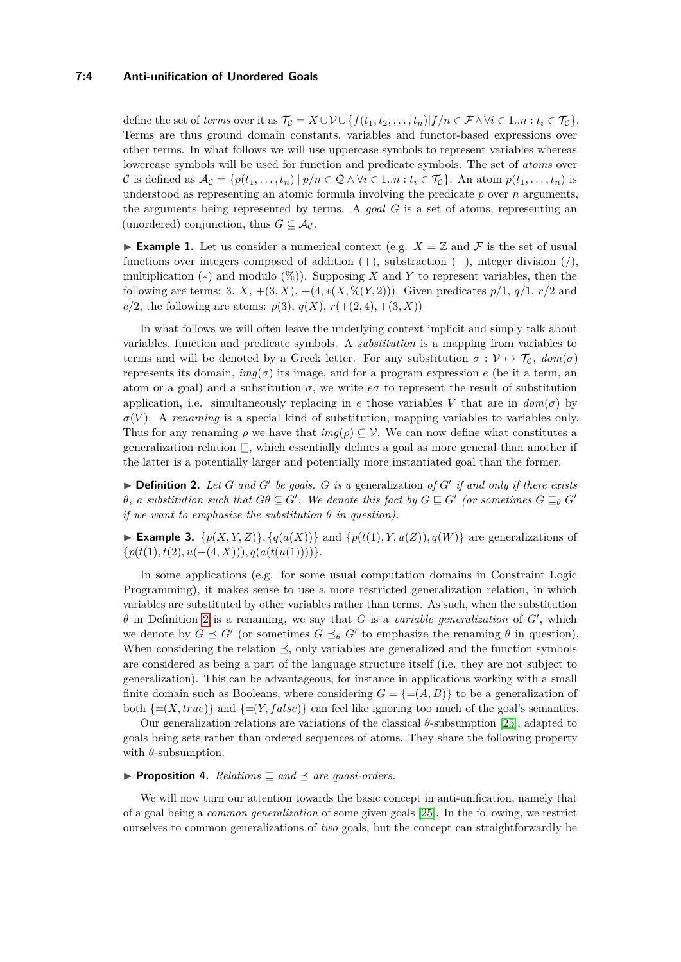## **7:4 Anti-unification of Unordered Goals**

define the set of *terms* over it as  $\mathcal{T}_{\mathcal{C}} = X \cup \mathcal{V} \cup \{f(t_1, t_2, \ldots, t_n) | f/n \in \mathcal{F} \wedge \forall i \in 1..n : t_i \in \mathcal{T}_{\mathcal{C}}\}.$ Terms are thus ground domain constants, variables and functor-based expressions over other terms. In what follows we will use uppercase symbols to represent variables whereas lowercase symbols will be used for function and predicate symbols. The set of *atoms* over C is defined as  $\mathcal{A}_{\mathcal{C}} = \{p(t_1, \ldots, t_n) \mid p/n \in \mathcal{Q} \land \forall i \in 1..n : t_i \in \mathcal{T}_{\mathcal{C}}\}$ . An atom  $p(t_1, \ldots, t_n)$  is understood as representing an atomic formula involving the predicate *p* over *n* arguments, the arguments being represented by terms. A *goal G* is a set of atoms, representing an (unordered) conjunction, thus  $G \subseteq \mathcal{A}_{\mathcal{C}}$ .

**Example 1.** Let us consider a numerical context (e.g.  $X = \mathbb{Z}$  and F is the set of usual functions over integers composed of addition (+), substraction (−), integer division (*/*), multiplication (∗) and modulo (%)). Supposing *X* and *Y* to represent variables, then the following are terms: 3, *X*, +(3, *X*), +(4,  $*(X, \% (Y, 2))$ ). Given predicates  $p/1$ ,  $q/1$ ,  $r/2$  and  $c/2$ , the following are atoms:  $p(3)$ ,  $q(X)$ ,  $r(+ (2, 4), + (3, X))$ 

In what follows we will often leave the underlying context implicit and simply talk about variables, function and predicate symbols. A *substitution* is a mapping from variables to terms and will be denoted by a Greek letter. For any substitution  $\sigma : \mathcal{V} \mapsto \mathcal{T}_{\mathcal{C}}$ ,  $dom(\sigma)$ represents its domain,  $img(\sigma)$  its image, and for a program expression *e* (be it a term, an atom or a goal) and a substitution  $\sigma$ , we write  $e\sigma$  to represent the result of substitution application, i.e. simultaneously replacing in *e* those variables *V* that are in  $dom(\sigma)$  by  $\sigma(V)$ . A *renaming* is a special kind of substitution, mapping variables to variables only. Thus for any renaming  $\rho$  we have that  $img(\rho) \subseteq V$ . We can now define what constitutes a generalization relation  $\sqsubseteq$ , which essentially defines a goal as more general than another if the latter is a potentially larger and potentially more instantiated goal than the former.

<span id="page-3-0"></span> $\blacktriangleright$  **Definition 2.** Let *G* and *G*<sup> $\prime$ </sup> be goals. *G* is a generalization of *G*<sup> $\prime$ </sup> if and only if there exists *θ*, a substitution such that  $G\theta \subseteq G'$ . We denote this fact by  $G \sqsubseteq G'$  (or sometimes  $G \sqsubseteq_{\theta} G'$ *if we want to emphasize the substitution*  $\theta$  *in question*).

**Example 3.**  $\{p(X, Y, Z)\}, \{q(a(X))\}$  and  $\{p(t(1), Y, u(Z)), q(W)\}\$  are generalizations of  $\{p(t(1), t(2), u(+ (4, X))), q(a(t(u(1))))\}.$ 

In some applications (e.g. for some usual computation domains in Constraint Logic Programming), it makes sense to use a more restricted generalization relation, in which variables are substituted by other variables rather than terms. As such, when the substitution  $\theta$  in Definition [2](#page-3-0) is a renaming, we say that *G* is a *variable generalization* of  $G'$ , which we denote by  $G \preceq G'$  (or sometimes  $G \preceq_{\theta} G'$  to emphasize the renaming  $\theta$  in question). When considering the relation  $\leq$ , only variables are generalized and the function symbols are considered as being a part of the language structure itself (i.e. they are not subject to generalization). This can be advantageous, for instance in applications working with a small finite domain such as Booleans, where considering  $G = \{=(A, B)\}\)$  to be a generalization of both  $\{=(X, true)\}\$ and  $\{=(Y, false)\}\$ can feel like ignoring too much of the goal's semantics.

Our generalization relations are variations of the classical *θ*-subsumption [\[25\]](#page-16-7), adapted to goals being sets rather than ordered sequences of atoms. They share the following property with  $\theta$ -subsumption.

#### <span id="page-3-1"></span>**Proposition 4.** Relations  $\subseteq$  and  $\preceq$  are quasi-orders.

We will now turn our attention towards the basic concept in anti-unification, namely that of a goal being a *common generalization* of some given goals [\[25\]](#page-16-7). In the following, we restrict ourselves to common generalizations of *two* goals, but the concept can straightforwardly be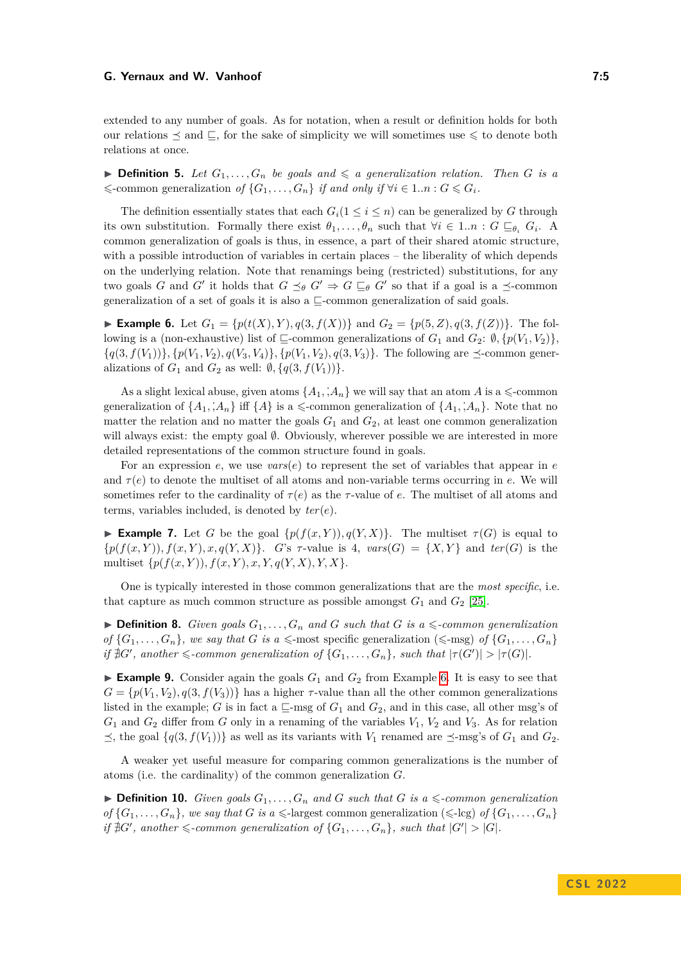extended to any number of goals. As for notation, when a result or definition holds for both our relations  $\leq$  and  $\subseteq$ , for the sake of simplicity we will sometimes use  $\leq$  to denote both relations at once.

**Definition 5.** Let  $G_1, \ldots, G_n$  be goals and  $\leq a$  generalization relation. Then G is a  $\leq$ -common generalization of  $\{G_1, \ldots, G_n\}$  *if and only if*  $\forall i \in 1..n : G \leqslant G_i$ .

The definition essentially states that each  $G_i(1 \leq i \leq n)$  can be generalized by *G* through its own substitution. Formally there exist  $\theta_1, \ldots, \theta_n$  such that  $\forall i \in 1..n : G \sqsubseteq_{\theta_i} G_i$ . A common generalization of goals is thus, in essence, a part of their shared atomic structure, with a possible introduction of variables in certain places – the liberality of which depends on the underlying relation. Note that renamings being (restricted) substitutions, for any two goals *G* and *G'* it holds that  $G \preceq_{\theta} G' \Rightarrow G \sqsubseteq_{\theta} G'$  so that if a goal is a  $\preceq$ -common generalization of a set of goals it is also a  $\sqsubseteq$ -common generalization of said goals.

<span id="page-4-0"></span>► **Example 6.** Let  $G_1 = \{p(t(X), Y), q(3, f(X))\}$  and  $G_2 = \{p(5, Z), q(3, f(Z))\}$ . The following is a (non-exhaustive) list of  $\sqsubseteq$ -common generalizations of  $G_1$  and  $G_2$ :  $\emptyset$ ,  $\{p(V_1, V_2)\}$ ,  ${q(3, f(V_1))}, {p(V_1, V_2), q(V_3, V_4)}, {p(V_1, V_2), q(3, V_3)}$ . The following are  $\preceq$ -common generalizations of  $G_1$  and  $G_2$  as well:  $\emptyset$ ,  $\{q(3, f(V_1))\}$ .

As a slight lexical abuse, given atoms  $\{A_1, A_n\}$  we will say that an atom *A* is a  $\leq$ -common generalization of  $\{A_1, A_n\}$  iff  $\{A\}$  is a  $\leq$ -common generalization of  $\{A_1, A_n\}$ . Note that no matter the relation and no matter the goals  $G_1$  and  $G_2$ , at least one common generalization will always exist: the empty goal  $\emptyset$ . Obviously, wherever possible we are interested in more detailed representations of the common structure found in goals.

For an expression *e*, we use *vars*(*e*) to represent the set of variables that appear in *e* and  $\tau(e)$  to denote the multiset of all atoms and non-variable terms occurring in *e*. We will sometimes refer to the cardinality of  $\tau(e)$  as the *τ*-value of *e*. The multiset of all atoms and terms, variables included, is denoted by *ter*(*e*).

**Example 7.** Let *G* be the goal  $\{p(f(x, Y)), q(Y, X)\}\$ . The multiset  $\tau(G)$  is equal to  ${p(f(x,Y)), f(x,Y), x, q(Y,X)}$ . *G*'s  $\tau$ -value is 4,  $vars(G) = {X,Y}$  and  $ter(G)$  is the multiset  $\{p(f(x, Y)), f(x, Y), x, Y, q(Y, X), Y, X\}.$ 

One is typically interested in those common generalizations that are the *most specific*, i.e. that capture as much common structure as possible amongst  $G_1$  and  $G_2$  [\[25\]](#page-16-7).

 $\triangleright$  **Definition 8.** *Given goals*  $G_1, \ldots, G_n$  *and G such that G is a*  $\leq$ *-common generalization of*  $\{G_1, \ldots, G_n\}$ *, we say that G is a*  $\leq$ -most specific generalization  $(\leq$ -msg) *of*  $\{G_1, \ldots, G_n\}$  $if \nexists G'$ , another  $\leq$ -common generalization of  $\{G_1, \ldots, G_n\}$ , such that  $|\tau(G')| > |\tau(G)|$ .

**Example 9.** Consider again the goals  $G_1$  and  $G_2$  from Example [6.](#page-4-0) It is easy to see that  $G = \{p(V_1, V_2), q(3, f(V_3))\}$  has a higher *τ*-value than all the other common generalizations listed in the example; *G* is in fact a  $\sqsubseteq$ -msg of  $G_1$  and  $G_2$ , and in this case, all other msg's of  $G_1$  and  $G_2$  differ from *G* only in a renaming of the variables  $V_1$ ,  $V_2$  and  $V_3$ . As for relation  $\leq$ , the goal  $\{q(3, f(V_1))\}$  as well as its variants with  $V_1$  renamed are  $\leq$ -msg's of  $G_1$  and  $G_2$ .

A weaker yet useful measure for comparing common generalizations is the number of atoms (i.e. the cardinality) of the common generalization *G*.

 $\triangleright$  **Definition 10.** *Given goals*  $G_1, \ldots, G_n$  *and*  $G$  *such that*  $G$  *is a*  $\leq$ *-common generalization of*  $\{G_1, \ldots, G_n\}$ *, we say that G is a*  $\leq$ -largest common generalization  $(\leq$ -lcg) *of*  $\{G_1, \ldots, G_n\}$ *if*  $\sharp G'$ , another  $\leq$ -common generalization of  $\{G_1, \ldots, G_n\}$ , such that  $|G'| > |G|$ .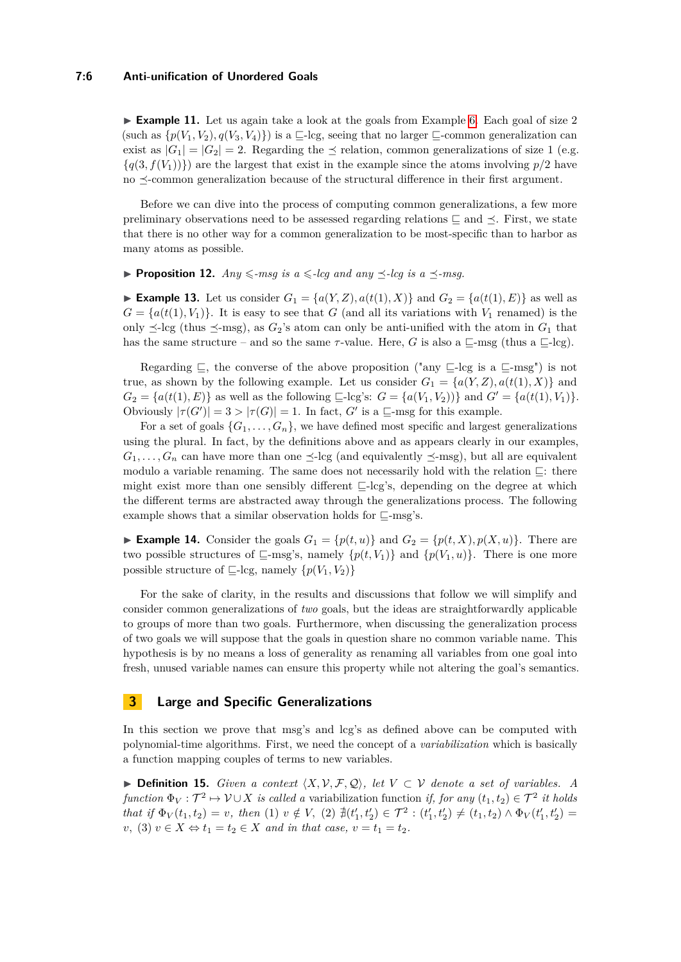#### **7:6 Anti-unification of Unordered Goals**

► **Example 11.** Let us again take a look at the goals from Example [6.](#page-4-0) Each goal of size 2 (such as  $\{p(V_1, V_2), q(V_3, V_4)\}\)$  is a  $\sqsubseteq$ -lcg, seeing that no larger  $\sqsubseteq$ -common generalization can exist as  $|G_1| = |G_2| = 2$ . Regarding the  $\prec$  relation, common generalizations of size 1 (e.g.  ${q(3, f(V_1))}$  are the largest that exist in the example since the atoms involving  $p/2$  have no  $\preceq$ -common generalization because of the structural difference in their first argument.

Before we can dive into the process of computing common generalizations, a few more preliminary observations need to be assessed regarding relations  $\subseteq$  and  $\preceq$ . First, we state that there is no other way for a common generalization to be most-specific than to harbor as many atoms as possible.

## <span id="page-5-1"></span>**Proposition 12.**  $Any \leq msg$  is  $a \leq -lcg$  and any  $\prec$ -lcq is  $a \prec$ -msq.

▶ **Example 13.** Let us consider  $G_1 = \{a(Y, Z), a(t(1), X)\}\$  and  $G_2 = \{a(t(1), E)\}\$  as well as  $G = \{a(t(1), V_1)\}\.$  It is easy to see that *G* (and all its variations with  $V_1$  renamed) is the only  $\preceq$ -lcg (thus  $\preceq$ -msg), as *G*<sub>2</sub>'s atom can only be anti-unified with the atom in *G*<sub>1</sub> that has the same structure – and so the same  $\tau$ -value. Here, *G* is also a  $\sqsubseteq$ -msg (thus a  $\sqsubseteq$ -lcg).

Regarding  $\subseteq$ , the converse of the above proposition ("any  $\subseteq$ -lcg is a  $\subseteq$ -msg") is not true, as shown by the following example. Let us consider  $G_1 = \{a(Y, Z), a(t(1), X)\}\$  and  $G_2 = \{a(t(1), E)\}\$ as well as the following  $\subseteq$ -lcg's:  $G = \{a(V_1, V_2)\}\$  and  $G' = \{a(t(1), V_1)\}\$ . Obviously  $|\tau(G')| = 3 > |\tau(G)| = 1$ . In fact, *G'* is a  $\subseteq$ -msg for this example.

For a set of goals  $\{G_1, \ldots, G_n\}$ , we have defined most specific and largest generalizations using the plural. In fact, by the definitions above and as appears clearly in our examples,  $G_1, \ldots, G_n$  can have more than one  $\leq$ -lcg (and equivalently  $\leq$ -msg), but all are equivalent modulo a variable renaming. The same does not necessarily hold with the relation  $\sqsubseteq$ : there might exist more than one sensibly different  $\Box$ -lcg's, depending on the degree at which the different terms are abstracted away through the generalizations process. The following example shows that a similar observation holds for  $\sqsubseteq$ -msg's.

**Example 14.** Consider the goals  $G_1 = \{p(t, u)\}\$  and  $G_2 = \{p(t, X), p(X, u)\}\$ . There are two possible structures of  $\sqsubseteq$ -msg's, namely  $\{p(t, V_1)\}\$  and  $\{p(V_1, u)\}\$ . There is one more possible structure of  $\Box$ -lcg, namely  $\{p(V_1, V_2)\}$ 

For the sake of clarity, in the results and discussions that follow we will simplify and consider common generalizations of *two* goals, but the ideas are straightforwardly applicable to groups of more than two goals. Furthermore, when discussing the generalization process of two goals we will suppose that the goals in question share no common variable name. This hypothesis is by no means a loss of generality as renaming all variables from one goal into fresh, unused variable names can ensure this property while not altering the goal's semantics.

# <span id="page-5-0"></span>**3 Large and Specific Generalizations**

In this section we prove that msg's and lcg's as defined above can be computed with polynomial-time algorithms. First, we need the concept of a *variabilization* which is basically a function mapping couples of terms to new variables.

**► Definition 15.** *Given a context*  $\langle X, \mathcal{V}, \mathcal{F}, \mathcal{Q} \rangle$ , let  $V \subset \mathcal{V}$  denote a set of variables. A  $function \Phi_V: \mathcal{T}^2 \mapsto \mathcal{V} \cup X$  *is called a* variabilization function *if, for any*  $(t_1, t_2) \in \mathcal{T}^2$  *it holds* that if  $\Phi_V(t_1, t_2) = v$ , then (1)  $v \notin V$ , (2)  $\sharp(t'_1, t'_2) \in \mathcal{T}^2 : (t'_1, t'_2) \neq (t_1, t_2) \wedge \Phi_V(t'_1, t'_2) =$ *v*, (3) *v* ∈ *X* ⇔ *t*<sub>1</sub> = *t*<sub>2</sub> ∈ *X and in that case, v* = *t*<sub>1</sub> = *t*<sub>2</sub>*.*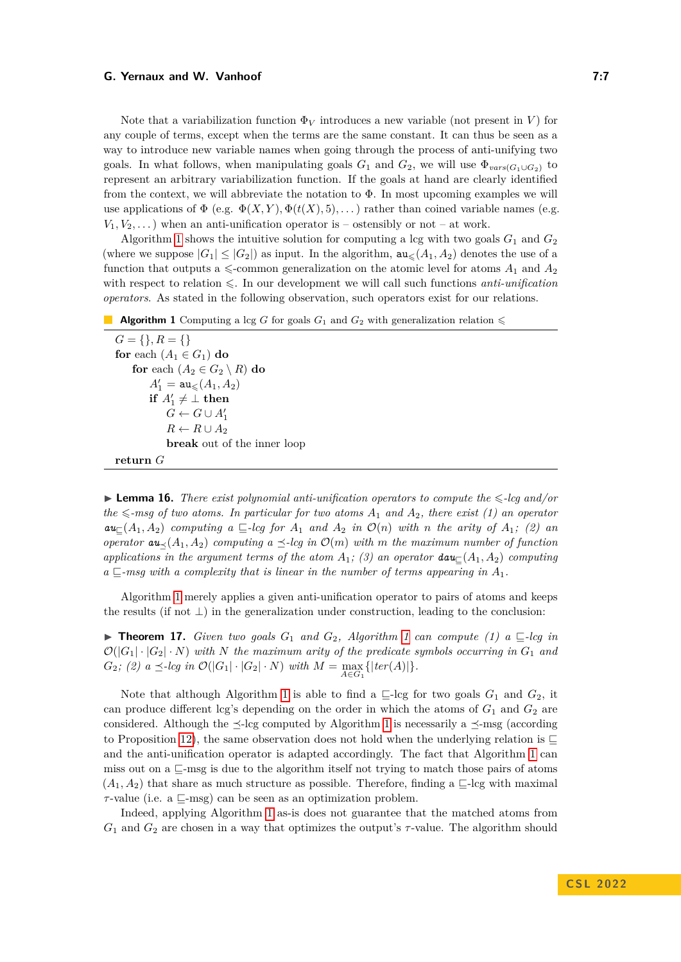Note that a variabilization function  $\Phi_V$  introduces a new variable (not present in *V*) for any couple of terms, except when the terms are the same constant. It can thus be seen as a way to introduce new variable names when going through the process of anti-unifying two goals. In what follows, when manipulating goals  $G_1$  and  $G_2$ , we will use  $\Phi_{vars(G_1\cup G_2)}$  to represent an arbitrary variabilization function. If the goals at hand are clearly identified from the context, we will abbreviate the notation to Φ. In most upcoming examples we will use applications of  $\Phi$  (e.g.  $\Phi(X, Y), \Phi(t(X), 5), \dots$ ) rather than coined variable names (e.g.  $V_1, V_2, \ldots$ ) when an anti-unification operator is – ostensibly or not – at work.

Algorithm [1](#page-6-0) shows the intuitive solution for computing a lcg with two goals  $G_1$  and  $G_2$ (where we suppose  $|G_1| \leq |G_2|$ ) as input. In the algorithm,  $au_{\leq}(A_1, A_2)$  denotes the use of a function that outputs a  $\leq$ -common generalization on the atomic level for atoms  $A_1$  and  $A_2$ with respect to relation  $\leq$ . In our development we will call such functions *anti-unification operators*. As stated in the following observation, such operators exist for our relations.

```
Algorithm 1 Computing a lcg G for goals G_1 and G_2 with generalization relation \leq
```
 $G = \{\}, R = \{\}$ **for** each  $(A_1 \in G_1)$  **do for** each  $(A_2 \in G_2 \setminus R)$  **do**  $A'_1 = \mathsf{au}_{\leqslant}(A_1, A_2)$ **if**  $A'_1 \neq \bot$  **then**  $G \leftarrow G \cup A'_1$  $R \leftarrow R \cup A_2$ **break** out of the inner loop **return** *G*

<span id="page-6-1"></span>**Lemma 16.** There exist polynomial anti-unification operators to compute the  $\leq$ -lcg and/or  $the \leq -msg$  of two atoms. In particular for two atoms  $A_1$  and  $A_2$ , there exist (1) an operator  $a$ **u**<sub> $\subset$ </sub> (*A*<sub>1</sub>*, A*<sub>2</sub>) *computing*  $a \sqsubseteq$ -*lcg for*  $A_1$  *and*  $A_2$  *in*  $\mathcal{O}(n)$  *with n the arity of*  $A_1$ *;* (2) *an operator*  $au_{\prec}(A_1, A_2)$  *computing*  $a \preceq$ -*lcg in*  $\mathcal{O}(m)$  *with*  $m$  *the maximum number of function applications in the argument terms of the atom*  $A_1$ *; (3) an operator*  $\textbf{dau}_{\square}(A_1, A_2)$  *computing*  $a \sqsubseteq$ -msg with a complexity that is linear in the number of terms appearing in  $A_1$ .

Algorithm [1](#page-6-0) merely applies a given anti-unification operator to pairs of atoms and keeps the results (if not  $\perp$ ) in the generalization under construction, leading to the conclusion:

<span id="page-6-2"></span>**Find [1](#page-6-0)7.** *Given two goals*  $G_1$  *and*  $G_2$ *, Algorithm* 1 *can compute* (1)  $a \sqsubseteq$ -*lcg in*  $\mathcal{O}(|G_1| \cdot |G_2| \cdot N)$  with N the maximum arity of the predicate symbols occurring in  $G_1$  and  $G_2$ *;* (2) a  $\leq$ -lcg in  $\mathcal{O}(|G_1| \cdot |G_2| \cdot N)$  with  $M = \max_{A \in G_1} \{ |ter(A)| \}.$ 

Note that although Algorithm [1](#page-6-0) is able to find a  $\sqsubseteq$ -lcg for two goals  $G_1$  and  $G_2$ , it can produce different lcg's depending on the order in which the atoms of  $G_1$  and  $G_2$  are considered. Although the  $\preceq$ -lcg computed by Algorithm [1](#page-6-0) is necessarily a  $\preceq$ -msg (according to Proposition [12\)](#page-5-1), the same observation does not hold when the underlying relation is  $\sqsubseteq$ and the anti-unification operator is adapted accordingly. The fact that Algorithm [1](#page-6-0) can miss out on a  $\sqsubseteq$ -msg is due to the algorithm itself not trying to match those pairs of atoms  $(A_1, A_2)$  that share as much structure as possible. Therefore, finding a  $\subseteq$ -lcg with maximal  $\tau$ -value (i.e. a  $\sqsubseteq$ -msg) can be seen as an optimization problem.

Indeed, applying Algorithm [1](#page-6-0) as-is does not guarantee that the matched atoms from *G*<sup>1</sup> and *G*<sup>2</sup> are chosen in a way that optimizes the output's *τ* -value. The algorithm should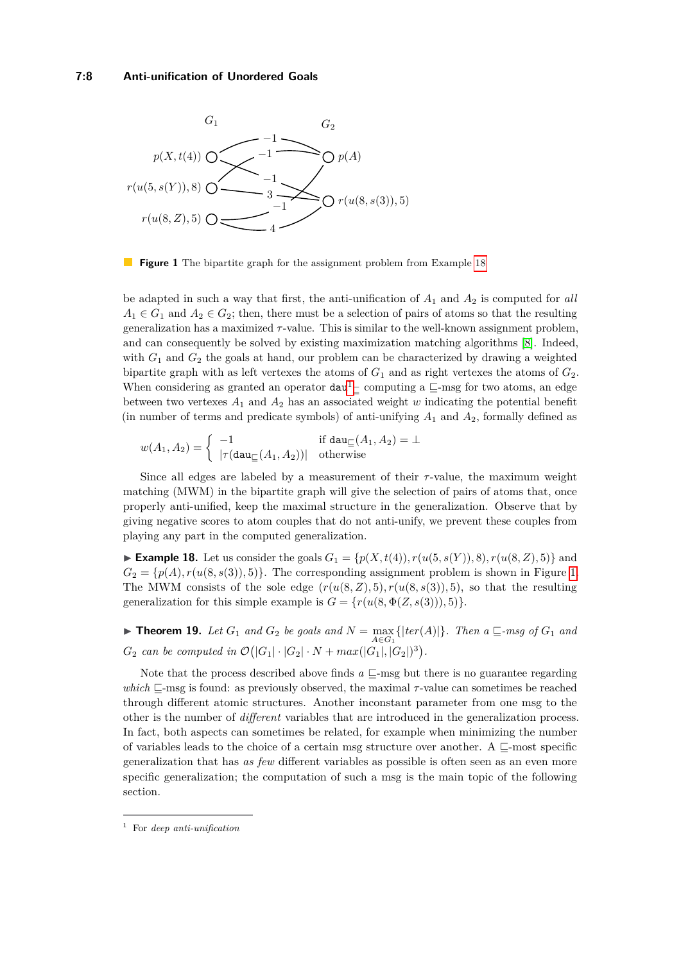<span id="page-7-2"></span>

**Figure 1** The bipartite graph for the assignment problem from Example [18](#page-7-0)

be adapted in such a way that first, the anti-unification of  $A_1$  and  $A_2$  is computed for *all*  $A_1 \in G_1$  and  $A_2 \in G_2$ ; then, there must be a selection of pairs of atoms so that the resulting generalization has a maximized *τ* -value. This is similar to the well-known assignment problem, and can consequently be solved by existing maximization matching algorithms [\[8\]](#page-15-14). Indeed, with  $G_1$  and  $G_2$  the goals at hand, our problem can be characterized by drawing a weighted bipartite graph with as left vertexes the atoms of  $G_1$  and as right vertexes the atoms of  $G_2$ . When considering as granted an operator  $dau<sup>1</sup>$  $dau<sup>1</sup>$  $dau<sup>1</sup>$ <sub> $\subseteq$ </sub> computing a  $\subseteq$ -msg for two atoms, an edge between two vertexes  $A_1$  and  $A_2$  has an associated weight *w* indicating the potential benefit (in number of terms and predicate symbols) of anti-unifying  $A_1$  and  $A_2$ , formally defined as

$$
w(A_1, A_2) = \begin{cases} -1 & \text{if } \mathtt{dau}_{\sqsubseteq}(A_1, A_2) = \bot \\ |\tau(\mathtt{dau}_{\sqsubseteq}(A_1, A_2))| & \text{otherwise} \end{cases}
$$

Since all edges are labeled by a measurement of their *τ* -value, the maximum weight matching (MWM) in the bipartite graph will give the selection of pairs of atoms that, once properly anti-unified, keep the maximal structure in the generalization. Observe that by giving negative scores to atom couples that do not anti-unify, we prevent these couples from playing any part in the computed generalization.

<span id="page-7-0"></span>▶ **Example 18.** Let us consider the goals  $G_1 = \{p(X, t(4)), r(u(5, s(Y)), 8), r(u(8, Z), 5)\}\)$  and  $G_2 = \{p(A), r(u(8, s(3)), 5)\}\.$  The corresponding assignment problem is shown in Figure [1.](#page-7-2) The MWM consists of the sole edge  $(r(u(8, Z), 5), r(u(8, s(3)), 5)$ , so that the resulting generalization for this simple example is  $G = \{r(u(8, \Phi(Z, s(3))), 5)\}.$ 

<span id="page-7-3"></span>▶ **Theorem 19.** Let  $G_1$  and  $G_2$  be goals and  $N = \max_{A \in G_1} \{ |ter(A)| \}$ . Then a  $\sqsubseteq$ -msg of  $G_1$  and  $G_2$  *can be computed in*  $\mathcal{O}(|G_1| \cdot |G_2| \cdot N + max(|G_1|, |G_2|)^3)$ .

Note that the process described above finds  $a \sqsubseteq$ -msg but there is no guarantee regarding *which*  $\sqsubseteq$ -msg is found: as previously observed, the maximal  $\tau$ -value can sometimes be reached through different atomic structures. Another inconstant parameter from one msg to the other is the number of *different* variables that are introduced in the generalization process. In fact, both aspects can sometimes be related, for example when minimizing the number of variables leads to the choice of a certain msg structure over another. A  $\sqsubset$ -most specific generalization that has *as few* different variables as possible is often seen as an even more specific generalization; the computation of such a msg is the main topic of the following section.

<span id="page-7-1"></span><sup>1</sup> For *deep anti-unification*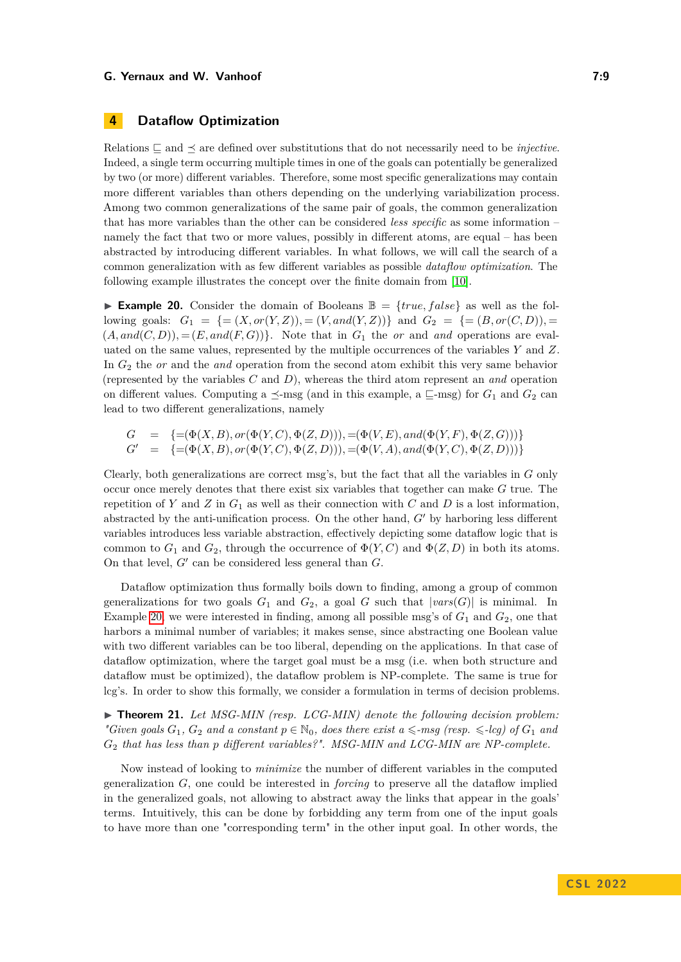# <span id="page-8-0"></span>**4 Dataflow Optimization**

Relations  $\Box$  and  $\prec$  are defined over substitutions that do not necessarily need to be *injective*. Indeed, a single term occurring multiple times in one of the goals can potentially be generalized by two (or more) different variables. Therefore, some most specific generalizations may contain more different variables than others depending on the underlying variabilization process. Among two common generalizations of the same pair of goals, the common generalization that has more variables than the other can be considered *less specific* as some information – namely the fact that two or more values, possibly in different atoms, are equal – has been abstracted by introducing different variables. In what follows, we will call the search of a common generalization with as few different variables as possible *dataflow optimization*. The following example illustrates the concept over the finite domain from [\[10\]](#page-15-15).

<span id="page-8-1"></span>**Example 20.** Consider the domain of Booleans  $\mathbb{B} = \{true, false\}$  as well as the following goals:  $G_1 = \{=(X, or(Y, Z))$ ,  $=(V, and(Y, Z))\}$  and  $G_2 = \{=(B, or(C, D))$ ,  $=$  $(A, and (C, D))$ , =  $(E, and (F, G))$ . Note that in  $G_1$  the *or* and *and* operations are evaluated on the same values, represented by the multiple occurrences of the variables *Y* and *Z*. In *G*<sup>2</sup> the *or* and the *and* operation from the second atom exhibit this very same behavior (represented by the variables *C* and *D*), whereas the third atom represent an *and* operation on different values. Computing a  $\preceq$ -msg (and in this example, a  $\sqsubseteq$ -msg) for  $G_1$  and  $G_2$  can lead to two different generalizations, namely

$$
G = \{=(\Phi(X, B), or(\Phi(Y, C), \Phi(Z, D))), =(\Phi(V, E), and(\Phi(Y, F), \Phi(Z, G)))\}
$$
  

$$
G' = \{=(\Phi(X, B), or(\Phi(Y, C), \Phi(Z, D))), =(\Phi(V, A), and(\Phi(Y, C), \Phi(Z, D)))\}
$$

Clearly, both generalizations are correct msg's, but the fact that all the variables in *G* only occur once merely denotes that there exist six variables that together can make *G* true. The repetition of *Y* and *Z* in  $G_1$  as well as their connection with *C* and *D* is a lost information, abstracted by the anti-unification process. On the other hand,  $G'$  by harboring less different variables introduces less variable abstraction, effectively depicting some dataflow logic that is common to  $G_1$  and  $G_2$ , through the occurrence of  $\Phi(Y, C)$  and  $\Phi(Z, D)$  in both its atoms. On that level,  $G'$  can be considered less general than  $G$ .

Dataflow optimization thus formally boils down to finding, among a group of common generalizations for two goals  $G_1$  and  $G_2$ , a goal  $G$  such that  $|vars(G)|$  is minimal. In Example [20,](#page-8-1) we were interested in finding, among all possible msg's of  $G_1$  and  $G_2$ , one that harbors a minimal number of variables; it makes sense, since abstracting one Boolean value with two different variables can be too liberal, depending on the applications. In that case of dataflow optimization, where the target goal must be a msg (i.e. when both structure and dataflow must be optimized), the dataflow problem is NP-complete. The same is true for lcg's. In order to show this formally, we consider a formulation in terms of decision problems.

<span id="page-8-2"></span> $\triangleright$  **Theorem 21.** Let MSG-MIN (resp. LCG-MIN) denote the following decision problem: *"Given goals*  $G_1$ ,  $G_2$  *and a constant*  $p \in \mathbb{N}_0$ , *does there exist*  $a \leq -msg$  (resp.  $\leq$ -lcg) of  $G_1$  *and G*<sup>2</sup> *that has less than p different variables?". MSG-MIN and LCG-MIN are NP-complete.*

Now instead of looking to *minimize* the number of different variables in the computed generalization *G*, one could be interested in *forcing* to preserve all the dataflow implied in the generalized goals, not allowing to abstract away the links that appear in the goals' terms. Intuitively, this can be done by forbidding any term from one of the input goals to have more than one "corresponding term" in the other input goal. In other words, the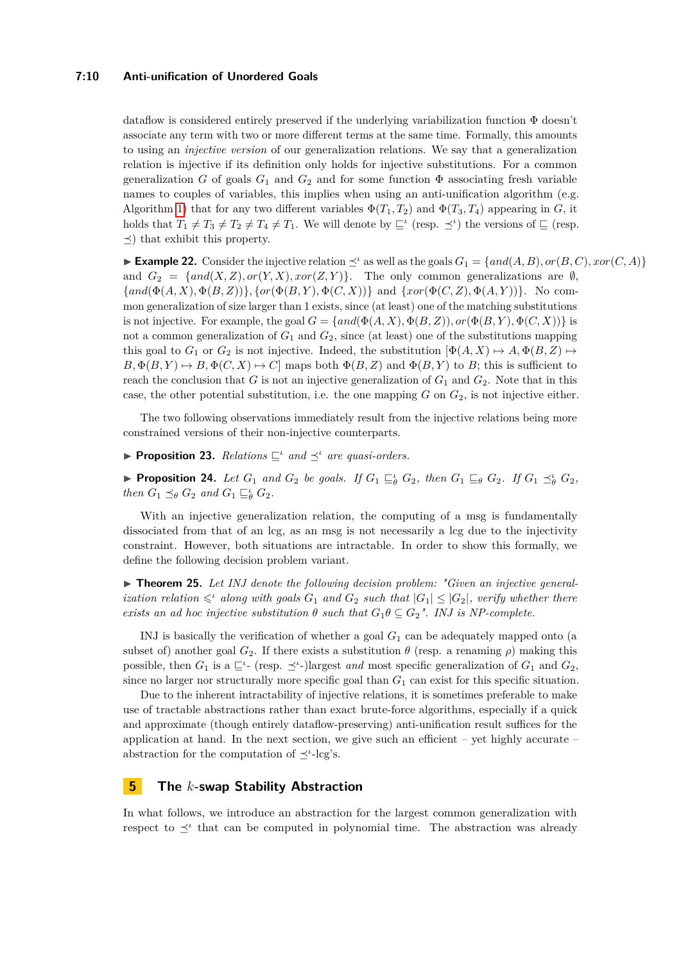#### **7:10 Anti-unification of Unordered Goals**

dataflow is considered entirely preserved if the underlying variabilization function Φ doesn't associate any term with two or more different terms at the same time. Formally, this amounts to using an *injective version* of our generalization relations. We say that a generalization relation is injective if its definition only holds for injective substitutions. For a common generalization *G* of goals  $G_1$  and  $G_2$  and for some function  $\Phi$  associating fresh variable names to couples of variables, this implies when using an anti-unification algorithm (e.g. Algorithm [1\)](#page-6-0) that for any two different variables  $\Phi(T_1, T_2)$  and  $\Phi(T_3, T_4)$  appearing in *G*, it holds that  $T_1 \neq T_3 \neq T_2 \neq T_4 \neq T_1$ . We will denote by  $\subseteq^{\iota}$  (resp.  $\preceq^{\iota}$ ) the versions of  $\subseteq$  (resp.  $\preceq$ ) that exhibit this property.

► **Example 22.** Consider the injective relation  $\preceq^{\iota}$  as well as the goals  $G_1 = \{and(A, B), or(B, C), xor(C, A)\}$ and  $G_2 = \{and(X, Z), or(Y, X), xor(Z, Y)\}.$  The only common generalizations are  $\emptyset$ ,  ${ \{and(\Phi(A, X), \Phi(B, Z))\}, \{or(\Phi(B, Y), \Phi(C, X))\} \}$  and  ${ \{xor(\Phi(C, Z), \Phi(A, Y))\}.$  No common generalization of size larger than 1 exists, since (at least) one of the matching substitutions is not injective. For example, the goal  $G = \{and(\Phi(A, X), \Phi(B, Z)), or(\Phi(B, Y), \Phi(C, X))\}$  is not a common generalization of  $G_1$  and  $G_2$ , since (at least) one of the substitutions mapping this goal to  $G_1$  or  $G_2$  is not injective. Indeed, the substitution  $[\Phi(A, X) \mapsto A, \Phi(B, Z) \mapsto$  $B, \Phi(B, Y) \mapsto B, \Phi(C, X) \mapsto C$  maps both  $\Phi(B, Z)$  and  $\Phi(B, Y)$  to *B*; this is sufficient to reach the conclusion that *G* is not an injective generalization of  $G_1$  and  $G_2$ . Note that in this case, the other potential substitution, i.e. the one mapping *G* on *G*2, is not injective either.

The two following observations immediately result from the injective relations being more constrained versions of their non-injective counterparts.

**Proposition 23.** *Relations*  $\sqsubseteq^{\iota}$  *and*  $\preceq^{\iota}$  *are quasi-orders.* 

► Proposition 24. Let  $G_1$  and  $G_2$  be goals. If  $G_1 \sqsubseteq_{\theta}^{\iota} G_2$ , then  $G_1 \sqsubseteq_{\theta} G_2$ . If  $G_1 \preceq_{\theta}^{\iota} G_2$ , *then*  $G_1 \preceq_{\theta} G_2$  *and*  $G_1 \sqsubseteq_{\theta}^{\iota} G_2$ *.* 

With an injective generalization relation, the computing of a msg is fundamentally dissociated from that of an lcg, as an msg is not necessarily a lcg due to the injectivity constraint. However, both situations are intractable. In order to show this formally, we define the following decision problem variant.

<span id="page-9-1"></span>▶ **Theorem 25.** Let INJ denote the following decision problem: "Given an injective general*ization relation*  $\leq$ <sup>*l*</sup> *along with goals*  $G_1$  *and*  $G_2$  *such that*  $|G_1| \leq |G_2|$ *, verify whether there exists an ad hoc injective substitution*  $\theta$  *such that*  $G_1 \theta \subseteq G_2$ *". INJ is NP-complete.* 

INJ is basically the verification of whether a goal *G*<sup>1</sup> can be adequately mapped onto (a subset of) another goal  $G_2$ . If there exists a substitution  $\theta$  (resp. a renaming  $\rho$ ) making this possible, then  $G_1$  is a  $\sqsubseteq^{\iota}$ - (resp.  $\preceq^{\iota}$ -)largest *and* most specific generalization of  $G_1$  and  $G_2$ , since no larger nor structurally more specific goal than  $G_1$  can exist for this specific situation.

Due to the inherent intractability of injective relations, it is sometimes preferable to make use of tractable abstractions rather than exact brute-force algorithms, especially if a quick and approximate (though entirely dataflow-preserving) anti-unification result suffices for the application at hand. In the next section, we give such an efficient  $-$  yet highly accurate  $$ abstraction for the computation of <sup>∠</sup>'-lcg's.

# <span id="page-9-0"></span>**5 The** *k***-swap Stability Abstraction**

In what follows, we introduce an abstraction for the largest common generalization with respect to  $\preceq^{\iota}$  that can be computed in polynomial time. The abstraction was already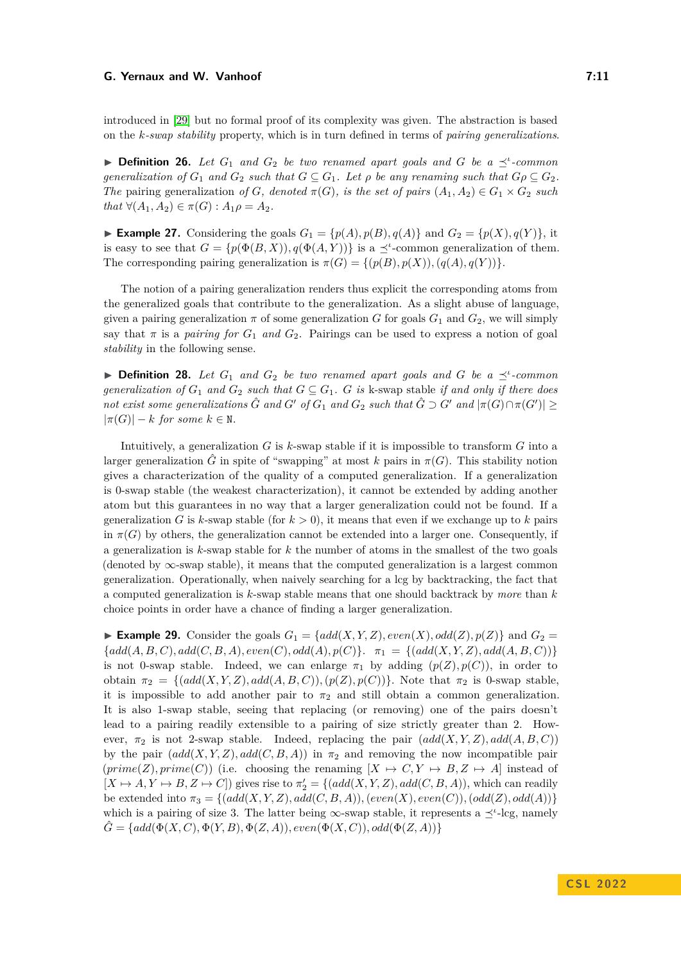introduced in [\[29\]](#page-16-11) but no formal proof of its complexity was given. The abstraction is based on the *k-swap stability* property, which is in turn defined in terms of *pairing generalizations*.

**Definition 26.** Let  $G_1$  and  $G_2$  be two renamed apart goals and  $G$  be a  $\preceq^i$ -common *generalization of*  $G_1$  *and*  $G_2$  *such that*  $G \subseteq G_1$ *. Let*  $\rho$  *be any renaming such that*  $G \rho \subseteq G_2$ *. The* pairing generalization *of G, denoted*  $\pi(G)$ *, is the set of pairs*  $(A_1, A_2) \in G_1 \times G_2$  *such*  $that \forall (A_1, A_2) \in \pi(G) : A_1 \rho = A_2.$ 

**Example 27.** Considering the goals  $G_1 = \{p(A), p(B), q(A)\}\$  and  $G_2 = \{p(X), q(Y)\}\$ , it is easy to see that  $G = \{p(\Phi(B, X)), q(\Phi(A, Y))\}$  is a  $\preceq^{\iota}$ -common generalization of them. The corresponding pairing generalization is  $\pi(G) = \{ (p(B), p(X)), (q(A), q(Y)) \}.$ 

The notion of a pairing generalization renders thus explicit the corresponding atoms from the generalized goals that contribute to the generalization. As a slight abuse of language, given a pairing generalization  $\pi$  of some generalization *G* for goals  $G_1$  and  $G_2$ , we will simply say that  $\pi$  is a *pairing for*  $G_1$  *and*  $G_2$ . Pairings can be used to express a notion of goal *stability* in the following sense.

**Definition 28.** Let  $G_1$  and  $G_2$  be two renamed apart goals and G be a  $\preceq^i$ -common *generalization of*  $G_1$  *and*  $G_2$  *such that*  $G \subseteq G_1$ *. G is* k-swap stable *if and only if there does not exist some generalizations*  $\hat{G}$  *and*  $G'$  *of*  $G_1$  *and*  $G_2$  *such that*  $\hat{G} \supset G'$  *and*  $|\pi(G) \cap \pi(G')| \ge$  $|\pi(G)| - k$  *for some*  $k \in \mathbb{N}$ .

Intuitively, a generalization *G* is *k*-swap stable if it is impossible to transform *G* into a larger generalization  $\hat{G}$  in spite of "swapping" at most *k* pairs in  $\pi(G)$ . This stability notion gives a characterization of the quality of a computed generalization. If a generalization is 0-swap stable (the weakest characterization), it cannot be extended by adding another atom but this guarantees in no way that a larger generalization could not be found. If a generalization *G* is *k*-swap stable (for  $k > 0$ ), it means that even if we exchange up to *k* pairs in  $\pi(G)$  by others, the generalization cannot be extended into a larger one. Consequently, if a generalization is *k*-swap stable for *k* the number of atoms in the smallest of the two goals (denoted by ∞-swap stable), it means that the computed generalization is a largest common generalization. Operationally, when naively searching for a lcg by backtracking, the fact that a computed generalization is *k*-swap stable means that one should backtrack by *more* than *k* choice points in order have a chance of finding a larger generalization.

<span id="page-10-0"></span>**Example 29.** Consider the goals  $G_1 = \{add(X, Y, Z), even(X), odd(Z), p(Z)\}$  and  $G_2 =$  ${add}(A, B, C), add(C, B, A), even(C), odd(A), p(C)}.$   $\pi_1 = {(add(X, Y, Z), add(A, B, C))}$ is not 0-swap stable. Indeed, we can enlarge  $\pi_1$  by adding  $(p(Z), p(C))$ , in order to obtain  $\pi_2 = \{ (add(X, Y, Z), add(A, B, C)), (p(Z), p(C)) \}.$  Note that  $\pi_2$  is 0-swap stable, it is impossible to add another pair to  $\pi_2$  and still obtain a common generalization. It is also 1-swap stable, seeing that replacing (or removing) one of the pairs doesn't lead to a pairing readily extensible to a pairing of size strictly greater than 2. However,  $\pi_2$  is not 2-swap stable. Indeed, replacing the pair  $(\text{add}(X, Y, Z), \text{add}(A, B, C))$ by the pair  $(add(X, Y, Z), add(C, B, A))$  in  $\pi_2$  and removing the now incompatible pair  $(prime(Z), prime(C))$  (i.e. choosing the renaming  $[X \mapsto C, Y \mapsto B, Z \mapsto A]$  instead of  $[X \mapsto A, Y \mapsto B, Z \mapsto C]$  gives rise to  $\pi'_2 = \{ (add(X, Y, Z), add(C, B, A)),$  which can readily be extended into  $\pi_3 = \{ (add(X, Y, Z), add(C, B, A)), (even(X), even(C)), (odd(Z), odd(A)) \}$ which is a pairing of size 3. The latter being  $\infty$ -swap stable, it represents a  $\preceq^{\iota}$ -lcg, namely  $\hat{G} = \{add(\Phi(X, C), \Phi(Y, B), \Phi(Z, A)), even(\Phi(X, C)), odd(\Phi(Z, A))\}$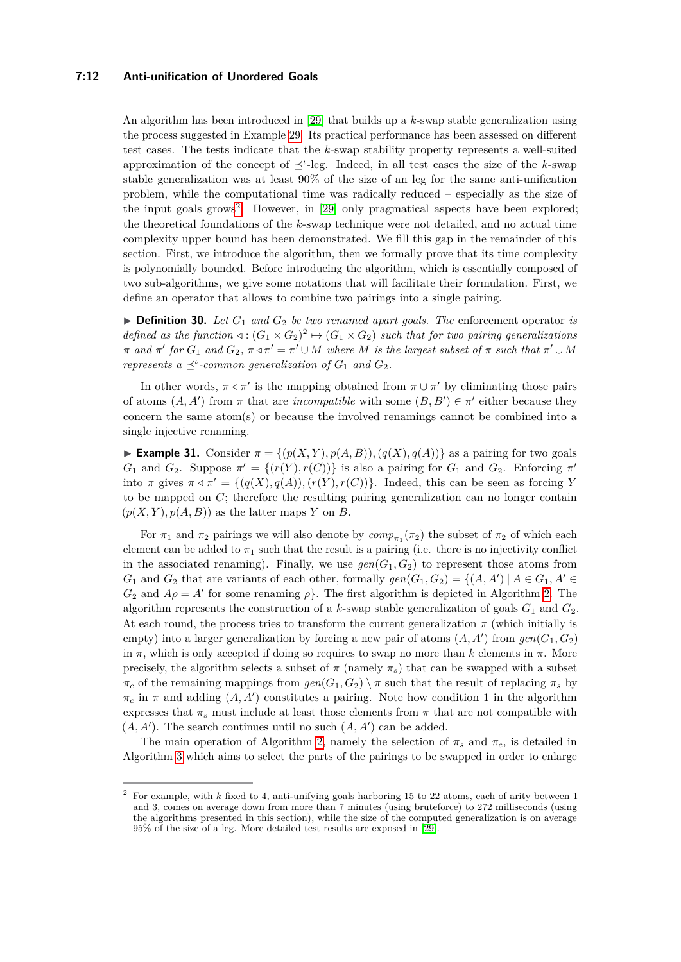#### **7:12 Anti-unification of Unordered Goals**

An algorithm has been introduced in [\[29\]](#page-16-11) that builds up a *k*-swap stable generalization using the process suggested in Example [29.](#page-10-0) Its practical performance has been assessed on different test cases. The tests indicate that the *k*-swap stability property represents a well-suited approximation of the concept of  $\preceq^{\iota}$ -lcg. Indeed, in all test cases the size of the *k*-swap stable generalization was at least 90% of the size of an lcg for the same anti-unification problem, while the computational time was radically reduced – especially as the size of the input goals grows<sup>[2](#page-11-0)</sup>. However, in [\[29\]](#page-16-11) only pragmatical aspects have been explored; the theoretical foundations of the *k*-swap technique were not detailed, and no actual time complexity upper bound has been demonstrated. We fill this gap in the remainder of this section. First, we introduce the algorithm, then we formally prove that its time complexity is polynomially bounded. Before introducing the algorithm, which is essentially composed of two sub-algorithms, we give some notations that will facilitate their formulation. First, we define an operator that allows to combine two pairings into a single pairing.

 $\triangleright$  **Definition 30.** *Let*  $G_1$  *and*  $G_2$  *be two renamed apart goals. The enforcement operator <i>is defined as the function*  $\triangleleft : (G_1 \times G_2)^2 \mapsto (G_1 \times G_2)$  *such that for two pairing generalizations*  $\pi$  *and*  $\pi'$  *for*  $G_1$  *and*  $G_2$ ,  $\pi \triangleleft \pi' \cup M$  *where M is the largest subset of*  $\pi$  *such that*  $\pi' \cup M$ *represents*  $a \preceq$ <sup>*'*</sup>-common generalization of  $G_1$  *and*  $G_2$ *.* 

In other words,  $\pi \triangleleft \pi'$  is the mapping obtained from  $\pi \cup \pi'$  by eliminating those pairs of atoms  $(A, A')$  from  $\pi$  that are *incompatible* with some  $(B, B') \in \pi'$  either because they concern the same atom(s) or because the involved renamings cannot be combined into a single injective renaming.

**Example 31.** Consider  $\pi = \{(p(X, Y), p(A, B)), (q(X), q(A))\}$  as a pairing for two goals *G*<sub>1</sub> and *G*<sub>2</sub>. Suppose  $\pi' = \{(r(Y), r(C))\}$  is also a pairing for *G*<sub>1</sub> and *G*<sub>2</sub>. Enforcing  $\pi'$ into *π* gives  $π ⊲ π' = \{(q(X), q(A)), (r(Y), r(C))\}$ . Indeed, this can be seen as forcing *Y* to be mapped on *C*; therefore the resulting pairing generalization can no longer contain  $(p(X, Y), p(A, B))$  as the latter maps Y on *B*.

For  $\pi_1$  and  $\pi_2$  pairings we will also denote by  $comp_{\pi_1}(\pi_2)$  the subset of  $\pi_2$  of which each element can be added to  $\pi_1$  such that the result is a pairing (i.e. there is no injectivity conflict in the associated renaming). Finally, we use  $\text{gen}(G_1, G_2)$  to represent those atoms from *G*<sub>1</sub> and *G*<sub>2</sub> that are variants of each other, formally  $gen(G_1, G_2) = \{(A, A') | A \in G_1, A' \in G_2\}$  $G_2$  and  $A\rho = A'$  for some renaming  $\rho$ . The first algorithm is depicted in Algorithm [2.](#page-12-0) The algorithm represents the construction of a *k*-swap stable generalization of goals  $G_1$  and  $G_2$ . At each round, the process tries to transform the current generalization  $\pi$  (which initially is empty) into a larger generalization by forcing a new pair of atoms  $(A, A')$  from  $gen(G_1, G_2)$ in  $\pi$ , which is only accepted if doing so requires to swap no more than *k* elements in  $\pi$ . More precisely, the algorithm selects a subset of  $\pi$  (namely  $\pi_s$ ) that can be swapped with a subset  $\pi_c$  of the remaining mappings from  $gen(G_1, G_2) \setminus \pi$  such that the result of replacing  $\pi_s$  by  $\pi_c$  in  $\pi$  and adding  $(A, A')$  constitutes a pairing. Note how condition 1 in the algorithm expresses that  $\pi_s$  must include at least those elements from  $\pi$  that are not compatible with  $(A, A')$ . The search continues until no such  $(A, A')$  can be added.

The main operation of Algorithm [2,](#page-12-0) namely the selection of  $\pi_s$  and  $\pi_c$ , is detailed in Algorithm [3](#page-13-0) which aims to select the parts of the pairings to be swapped in order to enlarge

<span id="page-11-0"></span><sup>2</sup> For example, with *k* fixed to 4, anti-unifying goals harboring 15 to 22 atoms, each of arity between 1 and 3, comes on average down from more than 7 minutes (using bruteforce) to 272 milliseconds (using the algorithms presented in this section), while the size of the computed generalization is on average 95% of the size of a lcg. More detailed test results are exposed in [\[29\]](#page-16-11).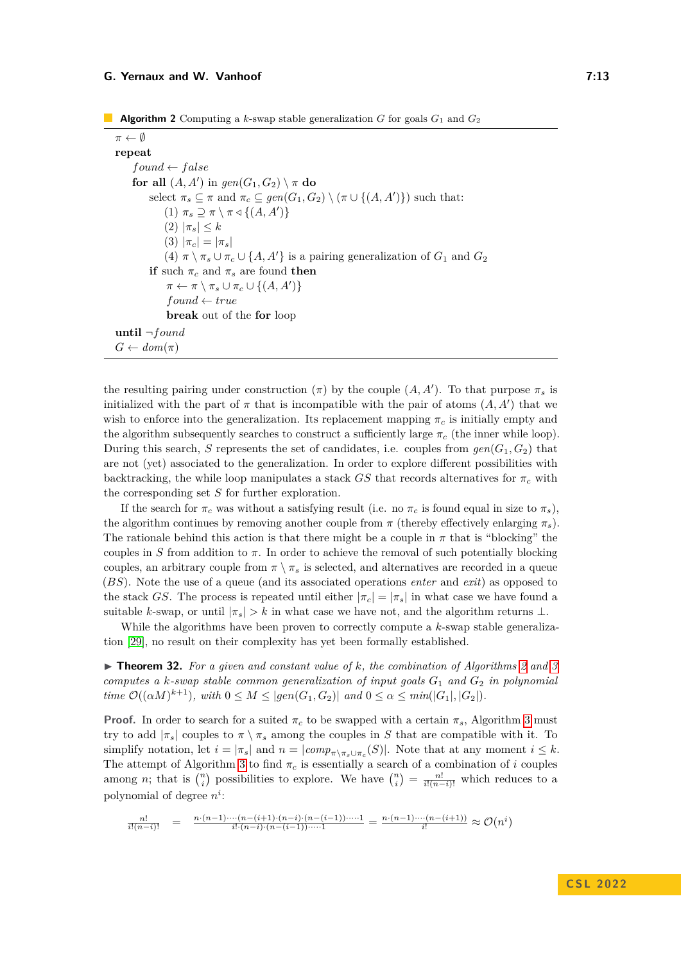<span id="page-12-0"></span>**Algorithm 2** Computing a *k*-swap stable generalization *G* for goals *G*<sup>1</sup> and *G*<sup>2</sup>

*π* ← ∅ **repeat**  $found \leftarrow false$ for all  $(A, A')$  in  $\text{gen}(G_1, G_2) \setminus \pi$  do select  $\pi_s \subseteq \pi$  and  $\pi_c \subseteq gen(G_1, G_2) \setminus (\pi \cup \{(A, A')\})$  such that: (1)  $\pi_s \supseteq \pi \setminus \pi \triangleleft \{ (A, A') \}$ (2) |*πs*| ≤ *k*  $(3) |\pi_c| = |\pi_s|$ (4)  $\pi \setminus \pi_s \cup \pi_c \cup \{A, A'\}$  is a pairing generalization of  $G_1$  and  $G_2$ **if** such  $\pi_c$  and  $\pi_s$  are found **then**  $\pi \leftarrow \pi \setminus \pi_s \cup \pi_c \cup \{(A, A')\}$  $found \leftarrow true$ **break** out of the **for** loop **until** ¬*found*  $G \leftarrow dom(\pi)$ 

the resulting pairing under construction  $(\pi)$  by the couple  $(A, A')$ . To that purpose  $\pi_s$  is initialized with the part of  $\pi$  that is incompatible with the pair of atoms  $(A, A')$  that we wish to enforce into the generalization. Its replacement mapping  $\pi_c$  is initially empty and the algorithm subsequently searches to construct a sufficiently large *π<sup>c</sup>* (the inner while loop). During this search, *S* represents the set of candidates, i.e. couples from  $gen(G_1, G_2)$  that are not (yet) associated to the generalization. In order to explore different possibilities with backtracking, the while loop manipulates a stack  $GS$  that records alternatives for  $\pi_c$  with the corresponding set *S* for further exploration.

If the search for  $\pi_c$  was without a satisfying result (i.e. no  $\pi_c$  is found equal in size to  $\pi_s$ ), the algorithm continues by removing another couple from  $\pi$  (thereby effectively enlarging  $\pi_s$ ). The rationale behind this action is that there might be a couple in  $\pi$  that is "blocking" the couples in *S* from addition to  $\pi$ . In order to achieve the removal of such potentially blocking couples, an arbitrary couple from  $\pi \setminus \pi_s$  is selected, and alternatives are recorded in a queue (*BS*). Note the use of a queue (and its associated operations *enter* and *exit*) as opposed to the stack *GS*. The process is repeated until either  $|\pi_c| = |\pi_s|$  in what case we have found a suitable *k*-swap, or until  $|\pi_s| > k$  in what case we have not, and the algorithm returns  $\perp$ .

While the algorithms have been proven to correctly compute a *k*-swap stable generalization [\[29\]](#page-16-11), no result on their complexity has yet been formally established.

 $\triangleright$  **Theorem [3](#page-13-0)2.** For a given and constant value of k, the combination of Algorithms [2](#page-12-0) and 3 *computes a k-swap stable common generalization of input goals G*<sup>1</sup> *and G*<sup>2</sup> *in polynomial time*  $\mathcal{O}((\alpha M)^{k+1})$ *, with*  $0 \leq M \leq |gen(G_1, G_2)|$  *and*  $0 \leq \alpha \leq min(|G_1|, |G_2|)$ *.* 

**Proof.** In order to search for a suited  $\pi_c$  to be swapped with a certain  $\pi_s$ , Algorithm [3](#page-13-0) must try to add  $|\pi_s|$  couples to  $\pi \setminus \pi_s$  among the couples in *S* that are compatible with it. To simplify notation, let  $i = |\pi_s|$  and  $n = |comp_{\pi \setminus \pi_s \cup \pi_c}(S)|$ . Note that at any moment  $i \leq k$ . The attempt of Algorithm [3](#page-13-0) to find  $\pi_c$  is essentially a search of a combination of *i* couples among *n*; that is  $\binom{n}{i}$  possibilities to explore. We have  $\binom{n}{i} = \frac{n!}{i!(n-i)!}$  which reduces to a polynomial of degree *n i* :

$$
\frac{n!}{i!(n-i)!} = \frac{n \cdot (n-1) \cdots (n-(i+1) \cdot (n-i) \cdot (n-(i-1)) \cdots 1}{i! \cdot (n-i) \cdot (n-(i-1)) \cdots 1} = \frac{n \cdot (n-1) \cdots (n-(i+1))}{i!} \approx \mathcal{O}(n^i)
$$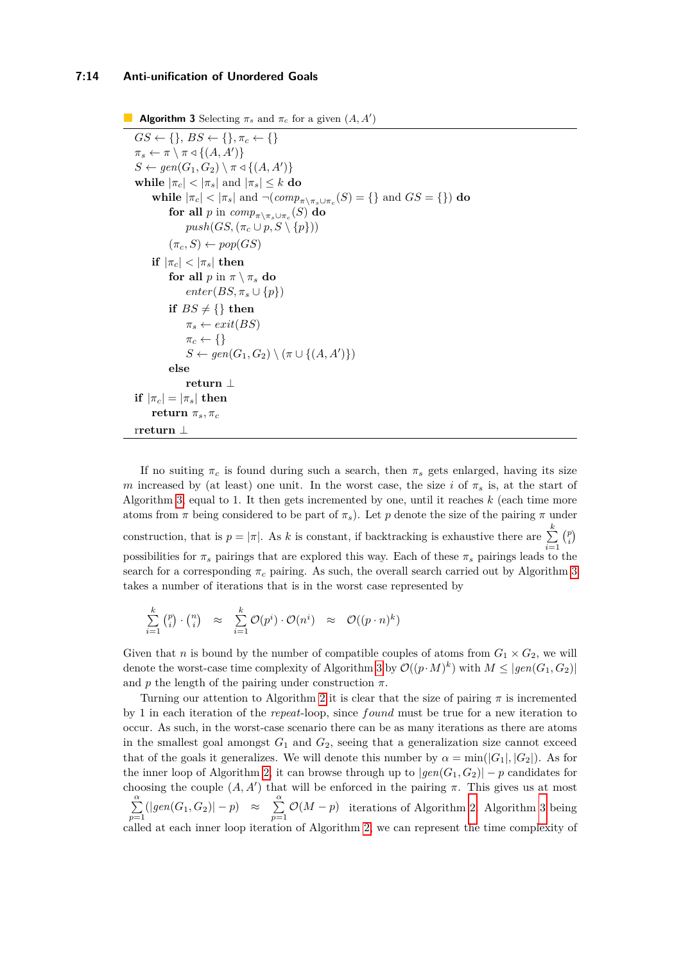#### **7:14 Anti-unification of Unordered Goals**

```
Algorithm 3 Selecting \pi_s and \pi_c for a given (A, A)GS \leftarrow \{\}, BS \leftarrow \{\}, \pi_c \leftarrow \{\}\pi_s \leftarrow \pi \setminus \pi \triangleleft \{ (A, A') \}S \leftarrow gen(G_1, G_2) \setminus \pi \triangleleft \{ (A, A') \}while |\pi_c| < |\pi_s| and |\pi_s| \leq k do
      while |\pi_c| < |\pi_s| and \neg(\text{comp}_{\pi \setminus \pi_s \cup \pi_c}(S) = \{\}\and GS = \{\}) do
           {\bf f} or {\bf a}ll p in comp_{\pi\setminus\pi_s\cup\pi_c}(S) {\bf d} o
                push(GS, (\pi_c \cup p, S \setminus \{p\}))(\pi_c, S) \leftarrow pop(GS)if |\pi_c| < |\pi_s| then
           for all p in \pi \setminus \pi_s do
                 enter(BS, \pi_s \cup \{p\})if BS \neq \{\} then
                \pi_s \leftarrow ext(BS)\pi_c \leftarrow \{\}S \leftarrow gen(G_1, G_2) \setminus (\pi \cup \{(A, A')\})else
                 return ⊥
if |\pi_c| = |\pi_s| then
     return \pi_s, \pi_crreturn ⊥
```
If no suiting  $\pi_c$  is found during such a search, then  $\pi_s$  gets enlarged, having its size *m* increased by (at least) one unit. In the worst case, the size *i* of  $\pi_s$  is, at the start of Algorithm [3,](#page-13-0) equal to 1. It then gets incremented by one, until it reaches *k* (each time more atoms from  $\pi$  being considered to be part of  $\pi_s$ ). Let p denote the size of the pairing  $\pi$  under construction, that is  $p = |\pi|$ . As k is constant, if backtracking is exhaustive there are  $\sum_{k=1}^{k}$ *i*=1  $\binom{p}{i}$ possibilities for  $\pi_s$  pairings that are explored this way. Each of these  $\pi_s$  pairings leads to the search for a corresponding  $\pi_c$  pairing. As such, the overall search carried out by Algorithm [3](#page-13-0) takes a number of iterations that is in the worst case represented by

$$
\sum_{i=1}^k {p \choose i} \cdot {n \choose i} \quad \approx \quad \sum_{i=1}^k \mathcal{O}(p^i) \cdot \mathcal{O}(n^i) \quad \approx \quad \mathcal{O}((p \cdot n)^k)
$$

Given that *n* is bound by the number of compatible couples of atoms from  $G_1 \times G_2$ , we will denote the worst-case time complexity of Algorithm [3](#page-13-0) by  $\mathcal{O}((p \cdot M)^k)$  with  $M \leq |gen(G_1, G_2)|$ and *p* the length of the pairing under construction  $\pi$ .

Turning our attention to Algorithm [2](#page-12-0) it is clear that the size of pairing *π* is incremented by 1 in each iteration of the *repeat*-loop, since *found* must be true for a new iteration to occur. As such, in the worst-case scenario there can be as many iterations as there are atoms in the smallest goal amongst  $G_1$  and  $G_2$ , seeing that a generalization size cannot exceed that of the goals it generalizes. We will denote this number by  $\alpha = \min(|G_1|, |G_2|)$ . As for the inner loop of Algorithm [2,](#page-12-0) it can browse through up to  $|gen(G_1, G_2)| - p$  candidates for choosing the couple  $(A, A')$  that will be enforced in the pairing  $\pi$ . This gives us at most  $\sum^{\alpha}$  $\sum_{p=1}^{\alpha} (|gen(G_1, G_2)| - p) \approx \sum_{p=1}^{\alpha}$  $\sum_{p=1}$   $\mathcal{O}(M-p)$  iterations of Algorithm [2.](#page-12-0) Algorithm [3](#page-13-0) being called at each inner loop iteration of Algorithm [2,](#page-12-0) we can represent the time complexity of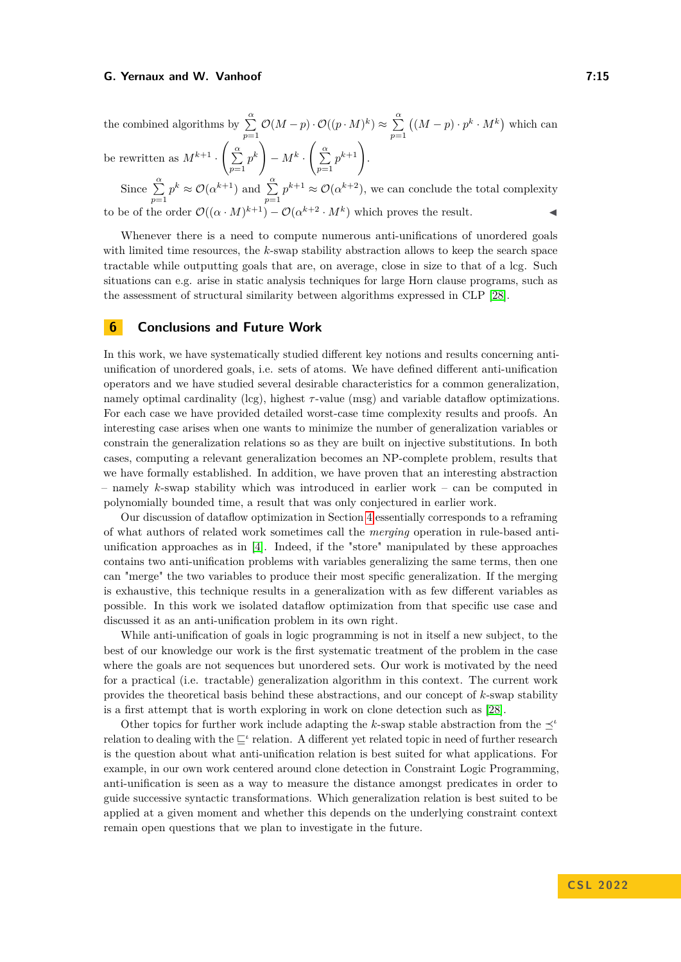the combined algorithms by  $\sum_{n=0}^{\infty} \mathcal{O}(M-p) \cdot \mathcal{O}((p \cdot M)^k) \approx \sum_{n=0}^{\infty}$ *p*=1 *p*=1  $((M - p) \cdot p^k \cdot M^k)$  which can be rewritten as  $M^{k+1}$ .  $\left(\frac{\alpha}{2}\right)$ *p*=1  $p^k$  $-M^k$ .  $\left(\begin{array}{c}\alpha\\ \sum\end{array}\right)$ *p*=1  $p^{k+1}$ .

Since  $\sum_{k=0}^{\infty} p^k \approx \mathcal{O}(\alpha^{k+1})$  and  $\sum_{k=0}^{\infty} p^{k+1} \approx \mathcal{O}(\alpha^{k+2})$ , we can conclude the total complexity *p*=1 *p*=1 to be of the order  $\mathcal{O}((\alpha \cdot M)^{k+1}) - \mathcal{O}(\alpha^{k+2} \cdot M^k)$  which proves the result.

Whenever there is a need to compute numerous anti-unifications of unordered goals with limited time resources, the *k*-swap stability abstraction allows to keep the search space tractable while outputting goals that are, on average, close in size to that of a lcg. Such situations can e.g. arise in static analysis techniques for large Horn clause programs, such as the assessment of structural similarity between algorithms expressed in CLP [\[28\]](#page-16-6).

## **6 Conclusions and Future Work**

In this work, we have systematically studied different key notions and results concerning antiunification of unordered goals, i.e. sets of atoms. We have defined different anti-unification operators and we have studied several desirable characteristics for a common generalization, namely optimal cardinality (lcg), highest *τ* -value (msg) and variable dataflow optimizations. For each case we have provided detailed worst-case time complexity results and proofs. An interesting case arises when one wants to minimize the number of generalization variables or constrain the generalization relations so as they are built on injective substitutions. In both cases, computing a relevant generalization becomes an NP-complete problem, results that we have formally established. In addition, we have proven that an interesting abstraction – namely *k*-swap stability which was introduced in earlier work – can be computed in polynomially bounded time, a result that was only conjectured in earlier work.

Our discussion of dataflow optimization in Section [4](#page-8-0) essentially corresponds to a reframing of what authors of related work sometimes call the *merging* operation in rule-based antiunification approaches as in [\[4\]](#page-15-16). Indeed, if the "store" manipulated by these approaches contains two anti-unification problems with variables generalizing the same terms, then one can "merge" the two variables to produce their most specific generalization. If the merging is exhaustive, this technique results in a generalization with as few different variables as possible. In this work we isolated dataflow optimization from that specific use case and discussed it as an anti-unification problem in its own right.

While anti-unification of goals in logic programming is not in itself a new subject, to the best of our knowledge our work is the first systematic treatment of the problem in the case where the goals are not sequences but unordered sets. Our work is motivated by the need for a practical (i.e. tractable) generalization algorithm in this context. The current work provides the theoretical basis behind these abstractions, and our concept of *k*-swap stability is a first attempt that is worth exploring in work on clone detection such as [\[28\]](#page-16-6).

Other topics for further work include adapting the *k*-swap stable abstraction from the *<sup>ι</sup>* relation to dealing with the  $\mathcal{L}^i$  relation. A different yet related topic in need of further research is the question about what anti-unification relation is best suited for what applications. For example, in our own work centered around clone detection in Constraint Logic Programming, anti-unification is seen as a way to measure the distance amongst predicates in order to guide successive syntactic transformations. Which generalization relation is best suited to be applied at a given moment and whether this depends on the underlying constraint context remain open questions that we plan to investigate in the future.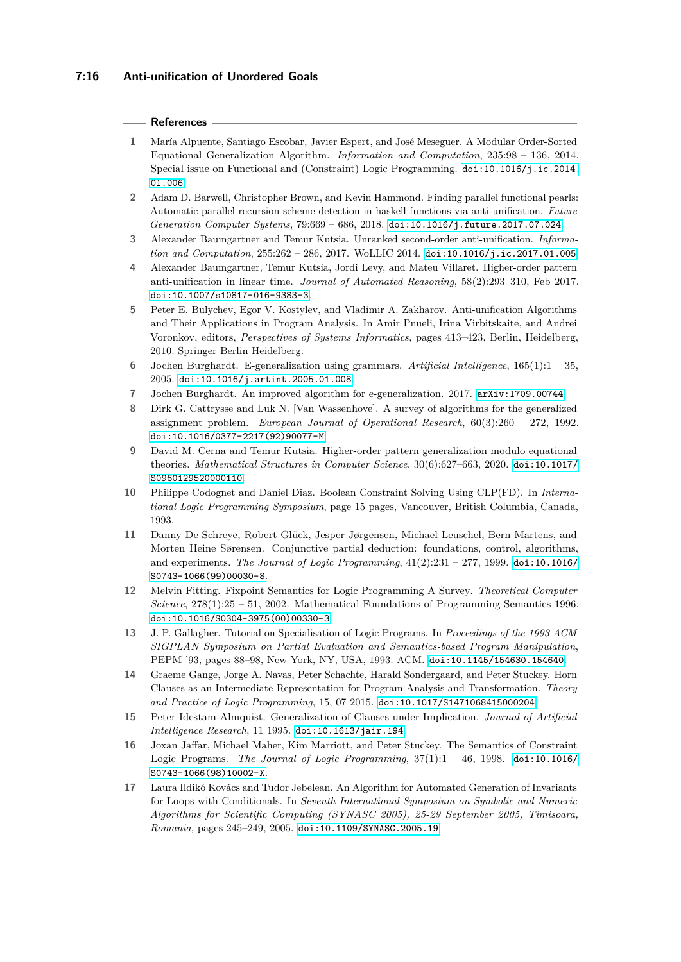#### **References**

- <span id="page-15-9"></span>**1** María Alpuente, Santiago Escobar, Javier Espert, and José Meseguer. A Modular Order-Sorted Equational Generalization Algorithm. *Information and Computation*, 235:98 – 136, 2014. Special issue on Functional and (Constraint) Logic Programming. [doi:10.1016/j.ic.2014.](https://doi.org/10.1016/j.ic.2014.01.006) [01.006](https://doi.org/10.1016/j.ic.2014.01.006).
- <span id="page-15-13"></span>**2** Adam D. Barwell, Christopher Brown, and Kevin Hammond. Finding parallel functional pearls: Automatic parallel recursion scheme detection in haskell functions via anti-unification. *Future Generation Computer Systems*, 79:669 – 686, 2018. [doi:10.1016/j.future.2017.07.024](https://doi.org/10.1016/j.future.2017.07.024).
- <span id="page-15-6"></span>**3** Alexander Baumgartner and Temur Kutsia. Unranked second-order anti-unification. *Information and Computation*, 255:262 – 286, 2017. WoLLIC 2014. [doi:10.1016/j.ic.2017.01.005](https://doi.org/10.1016/j.ic.2017.01.005).
- <span id="page-15-16"></span>**4** Alexander Baumgartner, Temur Kutsia, Jordi Levy, and Mateu Villaret. Higher-order pattern anti-unification in linear time. *Journal of Automated Reasoning*, 58(2):293–310, Feb 2017. [doi:10.1007/s10817-016-9383-3](https://doi.org/10.1007/s10817-016-9383-3).
- <span id="page-15-0"></span>**5** Peter E. Bulychev, Egor V. Kostylev, and Vladimir A. Zakharov. Anti-unification Algorithms and Their Applications in Program Analysis. In Amir Pnueli, Irina Virbitskaite, and Andrei Voronkov, editors, *Perspectives of Systems Informatics*, pages 413–423, Berlin, Heidelberg, 2010. Springer Berlin Heidelberg.
- <span id="page-15-11"></span>**6** Jochen Burghardt. E-generalization using grammars. *Artificial Intelligence*, 165(1):1 – 35, 2005. [doi:10.1016/j.artint.2005.01.008](https://doi.org/10.1016/j.artint.2005.01.008).
- <span id="page-15-12"></span>**7** Jochen Burghardt. An improved algorithm for e-generalization. 2017. [arXiv:1709.00744](http://arxiv.org/abs/1709.00744).
- <span id="page-15-14"></span>**8** Dirk G. Cattrysse and Luk N. [Van Wassenhove]. A survey of algorithms for the generalized assignment problem. *European Journal of Operational Research*, 60(3):260 – 272, 1992. [doi:10.1016/0377-2217\(92\)90077-M](https://doi.org/10.1016/0377-2217(92)90077-M).
- <span id="page-15-10"></span>**9** David M. Cerna and Temur Kutsia. Higher-order pattern generalization modulo equational theories. *Mathematical Structures in Computer Science*, 30(6):627–663, 2020. [doi:10.1017/](https://doi.org/10.1017/S0960129520000110) [S0960129520000110](https://doi.org/10.1017/S0960129520000110).
- <span id="page-15-15"></span>**10** Philippe Codognet and Daniel Diaz. Boolean Constraint Solving Using CLP(FD). In *International Logic Programming Symposium*, page 15 pages, Vancouver, British Columbia, Canada, 1993.
- <span id="page-15-1"></span>**11** Danny De Schreye, Robert Glück, Jesper Jørgensen, Michael Leuschel, Bern Martens, and Morten Heine Sørensen. Conjunctive partial deduction: foundations, control, algorithms, and experiments. *The Journal of Logic Programming*,  $41(2):231 - 277$ , 1999. [doi:10.1016/](https://doi.org/10.1016/S0743-1066(99)00030-8) [S0743-1066\(99\)00030-8](https://doi.org/10.1016/S0743-1066(99)00030-8).
- <span id="page-15-7"></span>**12** Melvin Fitting. Fixpoint Semantics for Logic Programming A Survey. *Theoretical Computer Science*, 278(1):25 – 51, 2002. Mathematical Foundations of Programming Semantics 1996. [doi:10.1016/S0304-3975\(00\)00330-3](https://doi.org/10.1016/S0304-3975(00)00330-3).
- <span id="page-15-4"></span>**13** J. P. Gallagher. Tutorial on Specialisation of Logic Programs. In *Proceedings of the 1993 ACM SIGPLAN Symposium on Partial Evaluation and Semantics-based Program Manipulation*, PEPM '93, pages 88–98, New York, NY, USA, 1993. ACM. [doi:10.1145/154630.154640](https://doi.org/10.1145/154630.154640).
- <span id="page-15-3"></span>**14** Graeme Gange, Jorge A. Navas, Peter Schachte, Harald Sondergaard, and Peter Stuckey. Horn Clauses as an Intermediate Representation for Program Analysis and Transformation. *Theory and Practice of Logic Programming*, 15, 07 2015. [doi:10.1017/S1471068415000204](https://doi.org/10.1017/S1471068415000204).
- <span id="page-15-2"></span>**15** Peter Idestam-Almquist. Generalization of Clauses under Implication. *Journal of Artificial Intelligence Research*, 11 1995. [doi:10.1613/jair.194](https://doi.org/10.1613/jair.194).
- <span id="page-15-8"></span>**16** Joxan Jaffar, Michael Maher, Kim Marriott, and Peter Stuckey. The Semantics of Constraint Logic Programs. *The Journal of Logic Programming*, 37(1):1 – 46, 1998. [doi:10.1016/](https://doi.org/10.1016/S0743-1066(98)10002-X) [S0743-1066\(98\)10002-X](https://doi.org/10.1016/S0743-1066(98)10002-X).
- <span id="page-15-5"></span>**17** Laura Ildikó Kovács and Tudor Jebelean. An Algorithm for Automated Generation of Invariants for Loops with Conditionals. In *Seventh International Symposium on Symbolic and Numeric Algorithms for Scientific Computing (SYNASC 2005), 25-29 September 2005, Timisoara, Romania*, pages 245–249, 2005. [doi:10.1109/SYNASC.2005.19](https://doi.org/10.1109/SYNASC.2005.19).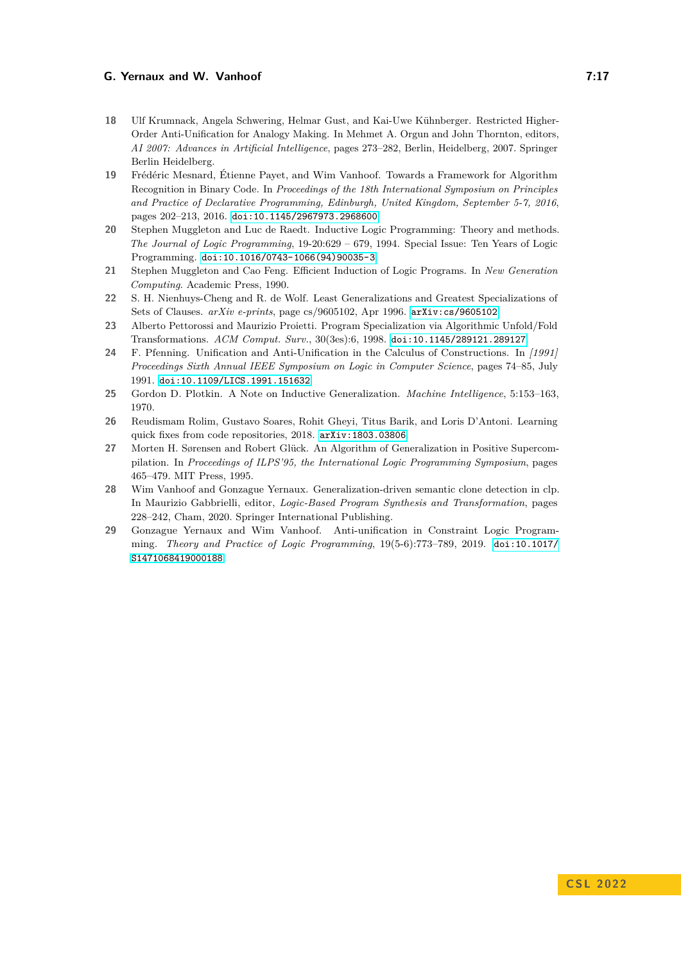- <span id="page-16-4"></span>**18** Ulf Krumnack, Angela Schwering, Helmar Gust, and Kai-Uwe Kühnberger. Restricted Higher-Order Anti-Unification for Analogy Making. In Mehmet A. Orgun and John Thornton, editors, *AI 2007: Advances in Artificial Intelligence*, pages 273–282, Berlin, Heidelberg, 2007. Springer Berlin Heidelberg.
- <span id="page-16-9"></span>**19** Frédéric Mesnard, Étienne Payet, and Wim Vanhoof. Towards a Framework for Algorithm Recognition in Binary Code. In *Proceedings of the 18th International Symposium on Principles and Practice of Declarative Programming, Edinburgh, United Kingdom, September 5-7, 2016*, pages 202–213, 2016. [doi:10.1145/2967973.2968600](https://doi.org/10.1145/2967973.2968600).
- <span id="page-16-2"></span>**20** Stephen Muggleton and Luc de Raedt. Inductive Logic Programming: Theory and methods. *The Journal of Logic Programming*, 19-20:629 – 679, 1994. Special Issue: Ten Years of Logic Programming. [doi:10.1016/0743-1066\(94\)90035-3](https://doi.org/10.1016/0743-1066(94)90035-3).
- <span id="page-16-3"></span>**21** Stephen Muggleton and Cao Feng. Efficient Induction of Logic Programs. In *New Generation Computing*. Academic Press, 1990.
- <span id="page-16-1"></span>**22** S. H. Nienhuys-Cheng and R. de Wolf. Least Generalizations and Greatest Specializations of Sets of Clauses. *arXiv e-prints*, page cs/9605102, Apr 1996. [arXiv:cs/9605102](http://arxiv.org/abs/cs/9605102).
- <span id="page-16-8"></span>**23** Alberto Pettorossi and Maurizio Proietti. Program Specialization via Algorithmic Unfold/Fold Transformations. *ACM Comput. Surv.*, 30(3es):6, 1998. [doi:10.1145/289121.289127](https://doi.org/10.1145/289121.289127).
- <span id="page-16-0"></span>**24** F. Pfenning. Unification and Anti-Unification in the Calculus of Constructions. In *[1991] Proceedings Sixth Annual IEEE Symposium on Logic in Computer Science*, pages 74–85, July 1991. [doi:10.1109/LICS.1991.151632](https://doi.org/10.1109/LICS.1991.151632).
- <span id="page-16-7"></span>**25** Gordon D. Plotkin. A Note on Inductive Generalization. *Machine Intelligence*, 5:153–163, 1970.
- <span id="page-16-10"></span>**26** Reudismam Rolim, Gustavo Soares, Rohit Gheyi, Titus Barik, and Loris D'Antoni. Learning quick fixes from code repositories, 2018. [arXiv:1803.03806](http://arxiv.org/abs/1803.03806).
- <span id="page-16-5"></span>**27** Morten H. Sørensen and Robert Glück. An Algorithm of Generalization in Positive Supercompilation. In *Proceedings of ILPS'95, the International Logic Programming Symposium*, pages 465–479. MIT Press, 1995.
- <span id="page-16-6"></span>**28** Wim Vanhoof and Gonzague Yernaux. Generalization-driven semantic clone detection in clp. In Maurizio Gabbrielli, editor, *Logic-Based Program Synthesis and Transformation*, pages 228–242, Cham, 2020. Springer International Publishing.
- <span id="page-16-11"></span>**29** Gonzague Yernaux and Wim Vanhoof. Anti-unification in Constraint Logic Programming. *Theory and Practice of Logic Programming*, 19(5-6):773–789, 2019. [doi:10.1017/](https://doi.org/10.1017/S1471068419000188) [S1471068419000188](https://doi.org/10.1017/S1471068419000188).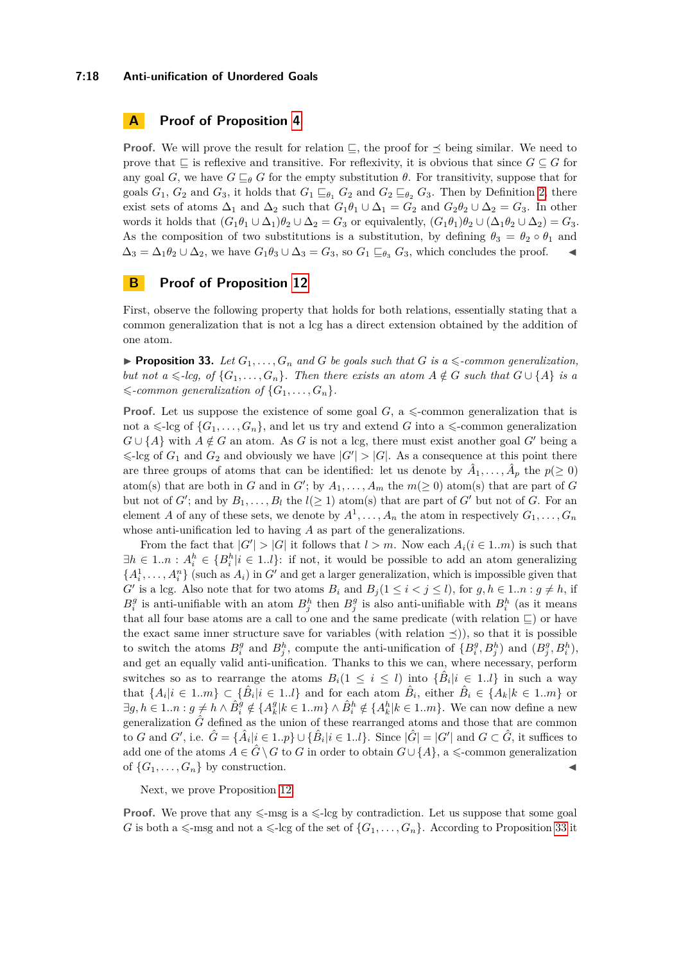#### **7:18 Anti-unification of Unordered Goals**

# **A Proof of Proposition [4](#page-3-1)**

**Proof.** We will prove the result for relation  $\subseteq$ , the proof for  $\preceq$  being similar. We need to prove that  $\sqsubseteq$  is reflexive and transitive. For reflexivity, it is obvious that since  $G \subseteq G$  for any goal *G*, we have  $G \sqsubseteq_{\theta} G$  for the empty substitution  $\theta$ . For transitivity, suppose that for goals  $G_1$ ,  $G_2$  and  $G_3$ , it holds that  $G_1 \sqsubseteq_{\theta_1} G_2$  and  $G_2 \sqsubseteq_{\theta_2} G_3$ . Then by Definition [2,](#page-3-0) there exist sets of atoms  $\Delta_1$  and  $\Delta_2$  such that  $G_1\theta_1 \cup \Delta_1 = G_2$  and  $G_2\theta_2 \cup \Delta_2 = G_3$ . In other words it holds that  $(G_1\theta_1 \cup \Delta_1)\theta_2 \cup \Delta_2 = G_3$  or equivalently,  $(G_1\theta_1)\theta_2 \cup (\Delta_1\theta_2 \cup \Delta_2) = G_3$ . As the composition of two substitutions is a substitution, by defining  $\theta_3 = \theta_2 \circ \theta_1$  and  $\Delta_3 = \Delta_1 \theta_2 \cup \Delta_2$ , we have  $G_1 \theta_3 \cup \Delta_3 = G_3$ , so  $G_1 \sqsubseteq_{\theta_3} G_3$ , which concludes the proof.

# **B Proof of Proposition [12](#page-5-1)**

First, observe the following property that holds for both relations, essentially stating that a common generalization that is not a lcg has a direct extension obtained by the addition of one atom.

<span id="page-17-0"></span>**• Proposition 33.** Let  $G_1, \ldots, G_n$  and G be goals such that G is a  $\leq$ -common generalization, *but not a*  $\leq$ -lcg, of  $\{G_1, \ldots, G_n\}$ . Then there exists an atom  $A \notin G$  such that  $G \cup \{A\}$  is a  $\leq$ -common generalization of  $\{G_1, \ldots, G_n\}$ .

**Proof.** Let us suppose the existence of some goal  $G$ , a  $\leq$ -common generalization that is not a  $\leq$ -lcg of  $\{G_1, \ldots, G_n\}$ , and let us try and extend *G* into a  $\leq$ -common generalization  $G \cup \{A\}$  with  $A \notin G$  an atom. As *G* is not a lcg, there must exist another goal *G*<sup>*'*</sup> being a  $\leq$ -lcg of  $G_1$  and  $G_2$  and obviously we have  $|G'| > |G|$ . As a consequence at this point there are three groups of atoms that can be identified: let us denote by  $\hat{A}_1, \ldots, \hat{A}_p$  the  $p(\geq 0)$ atom(s) that are both in *G* and in *G'*; by  $A_1, \ldots, A_m$  the  $m(\geq 0)$  atom(s) that are part of *G* but not of  $G'$ ; and by  $B_1, \ldots, B_l$  the  $l(\geq 1)$  atom(s) that are part of  $G'$  but not of  $G$ . For an element *A* of any of these sets, we denote by  $A^1, \ldots, A_n$  the atom in respectively  $G_1, \ldots, G_n$ whose anti-unification led to having *A* as part of the generalizations.

From the fact that  $|G'| > |G|$  it follows that  $l > m$ . Now each  $A_i (i \in 1..m)$  is such that  $\exists h \in 1..n : A_i^h \in \{B_i^h | i \in 1..l\}$ : if not, it would be possible to add an atom generalizing  ${A_i^1, \ldots, A_i^n}$  (such as  $A_i$ ) in *G*<sup>*i*</sup> and get a larger generalization, which is impossible given that *G*<sup>*i*</sup> is a lcg. Also note that for two atoms  $B_i$  and  $B_j$  ( $1 \leq i < j \leq l$ ), for  $g, h \in 1..n : g \neq h$ , if  $B_i^g$  is anti-unifiable with an atom  $B_j^h$  then  $B_j^g$  is also anti-unifiable with  $B_i^h$  (as it means that all four base atoms are a call to one and the same predicate (with relation  $\sqsubseteq$ ) or have the exact same inner structure save for variables (with relation  $\preceq$ )), so that it is possible to switch the atoms  $B_i^g$  and  $B_j^h$ , compute the anti-unification of  $\{B_i^g, B_j^h\}$  and  $(B_j^g, B_i^h)$ , and get an equally valid anti-unification. Thanks to this we can, where necessary, perform switches so as to rearrange the atoms  $B_i(1 \leq i \leq l)$  into  $\{\hat{B}_i | i \in 1..l\}$  in such a way that  $\{A_i | i \in 1..m\} \subset \{\hat{B}_i | i \in 1..l\}$  and for each atom  $\hat{B}_i$ , either  $\hat{B}_i \in \{A_k | k \in 1..m\}$  or  $\exists g, h \in 1..n : g \neq h \wedge \hat{B}_i^g \notin \{A_k^g | k \in 1..m\} \wedge \hat{B}_i^h \notin \{A_k^h | k \in 1..m\}.$  We can now define a new generalization  $\hat{G}$  defined as the union of these rearranged atoms and those that are common to *G* and *G'*, i.e.  $\hat{G} = \{\hat{A}_i | i \in 1..p\} \cup \{\hat{B}_i | i \in 1..l\}$ . Since  $|\hat{G}| = |G'|$  and  $G \subset \hat{G}$ , it suffices to add one of the atoms  $A \in \hat{G} \setminus G$  to *G* in order to obtain  $G \cup \{A\}$ , a  $\leq$ -common generalization of  $\{G_1, \ldots, G_n\}$  by construction.

Next, we prove Proposition [12.](#page-5-1)

**Proof.** We prove that any  $\leq$ -msg is a  $\leq$ -lcg by contradiction. Let us suppose that some goal *G* is both a  $\leq$ -msg and not a  $\leq$ -lcg of the set of  $\{G_1, \ldots, G_n\}$ . According to Proposition [33](#page-17-0) it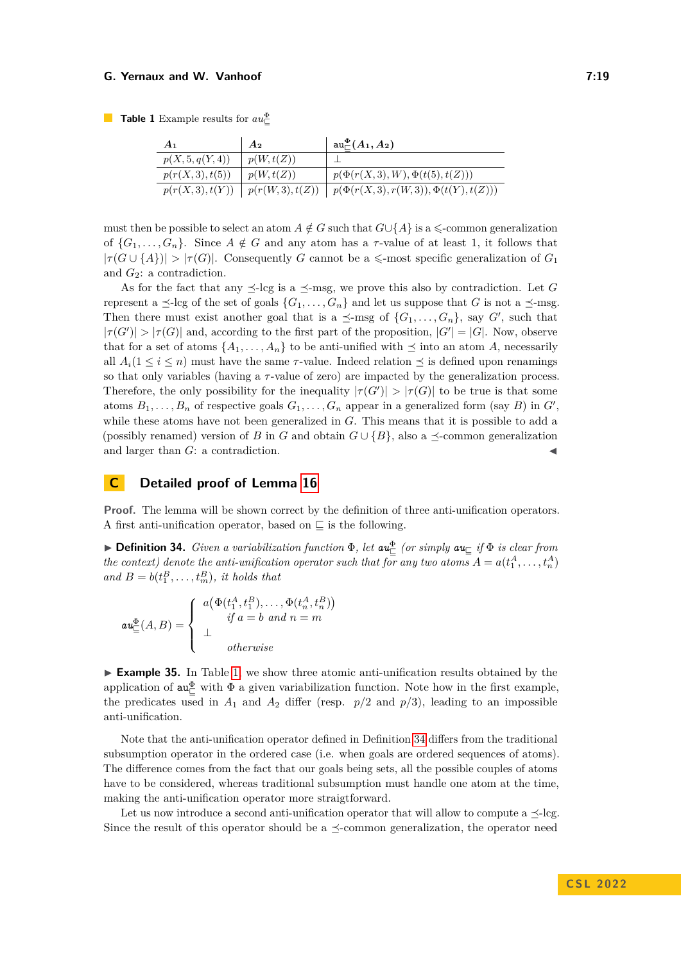<span id="page-18-0"></span>**Table 1** Example results for  $au_{\square}^{\Phi}$ 

| $A_1$            | A <sub>2</sub>   | $\mathrm{au}^\Phi_\sqsubset(A_1,A_2)$     |
|------------------|------------------|-------------------------------------------|
| p(X, 5, q(Y, 4)) | p(W, t(Z))       |                                           |
| p(r(X,3), t(5))  | p(W, t(Z))       | $p(\Phi(r(X,3),W), \Phi(t(5), t(Z)))$     |
| p(r(X,3), t(Y))  | p(r(W, 3), t(Z)) | $p(\Phi(r(X,3),r(W,3)), \Phi(t(Y),t(Z)))$ |

must then be possible to select an atom  $A \notin G$  such that  $G \cup \{A\}$  is a  $\leq$ -common generalization of  $\{G_1, \ldots, G_n\}$ . Since  $A \notin G$  and any atom has a *τ*-value of at least 1, it follows that  $|\tau(G \cup \{A\})| > |\tau(G)|$ . Consequently *G* cannot be a  $\leq$ -most specific generalization of *G*<sub>1</sub> and *G*2: a contradiction.

As for the fact that any  $\preceq$ -lcg is a  $\preceq$ -msg, we prove this also by contradiction. Let *G* represent a  $\preceq$ -lcg of the set of goals  $\{G_1, \ldots, G_n\}$  and let us suppose that *G* is not a  $\preceq$ -msg. Then there must exist another goal that is a  $\preceq$ -msg of  $\{G_1, \ldots, G_n\}$ , say *G'*, such that  $|\tau(G')| > |\tau(G)|$  and, according to the first part of the proposition,  $|G'| = |G|$ . Now, observe that for a set of atoms  $\{A_1, \ldots, A_n\}$  to be anti-unified with  $\preceq$  into an atom *A*, necessarily all  $A_i(1 \leq i \leq n)$  must have the same *τ*-value. Indeed relation  $\preceq$  is defined upon renamings so that only variables (having a *τ* -value of zero) are impacted by the generalization process. Therefore, the only possibility for the inequality  $|\tau(G')| > |\tau(G)|$  to be true is that some atoms  $B_1, \ldots, B_n$  of respective goals  $G_1, \ldots, G_n$  appear in a generalized form (say *B*) in  $G'$ , while these atoms have not been generalized in *G*. This means that it is possible to add a (possibly renamed) version of *B* in *G* and obtain  $G \cup \{B\}$ , also a  $\prec$ -common generalization and larger than *G*: a contradiction.

# **C Detailed proof of Lemma [16](#page-6-1)**

**Proof.** The lemma will be shown correct by the definition of three anti-unification operators. A first anti-unification operator, based on  $\Box$  is the following.

<span id="page-18-1"></span>**Definition 34.** *Given a variabilization function*  $\Phi$ *, let*  $au_{\pm}^{\Phi}$  *(or simply*  $au_{\pm}$  *if*  $\Phi$  *is clear from the context) denote the anti-unification operator such that for any two atoms*  $A = a(t_1^A, \ldots, t_n^A)$ and  $B = b(t_1^B, \ldots, t_m^B)$ *, it holds that* 

$$
\mathbf{au}_{\sqsubseteq}^{\Phi}(A,B) = \left\{ \begin{array}{l} a(\Phi(t_1^A, t_1^B), \dots, \Phi(t_n^A, t_n^B)) \\ \text{if } a = b \text{ and } n = m \\ \bot \\ \text{otherwise} \end{array} \right.
$$

<span id="page-18-2"></span>► **Example 35.** In Table [1,](#page-18-0) we show three atomic anti-unification results obtained by the application of  $au_{\sqsubseteq}^{\Phi}$  with  $\Phi$  a given variabilization function. Note how in the first example, the predicates used in  $A_1$  and  $A_2$  differ (resp.  $p/2$  and  $p/3$ ), leading to an impossible anti-unification.

Note that the anti-unification operator defined in Definition [34](#page-18-1) differs from the traditional subsumption operator in the ordered case (i.e. when goals are ordered sequences of atoms). The difference comes from the fact that our goals being sets, all the possible couples of atoms have to be considered, whereas traditional subsumption must handle one atom at the time, making the anti-unification operator more straigtforward.

Let us now introduce a second anti-unification operator that will allow to compute a  $\preceq$ -lcg. Since the result of this operator should be a  $\preceq$ -common generalization, the operator need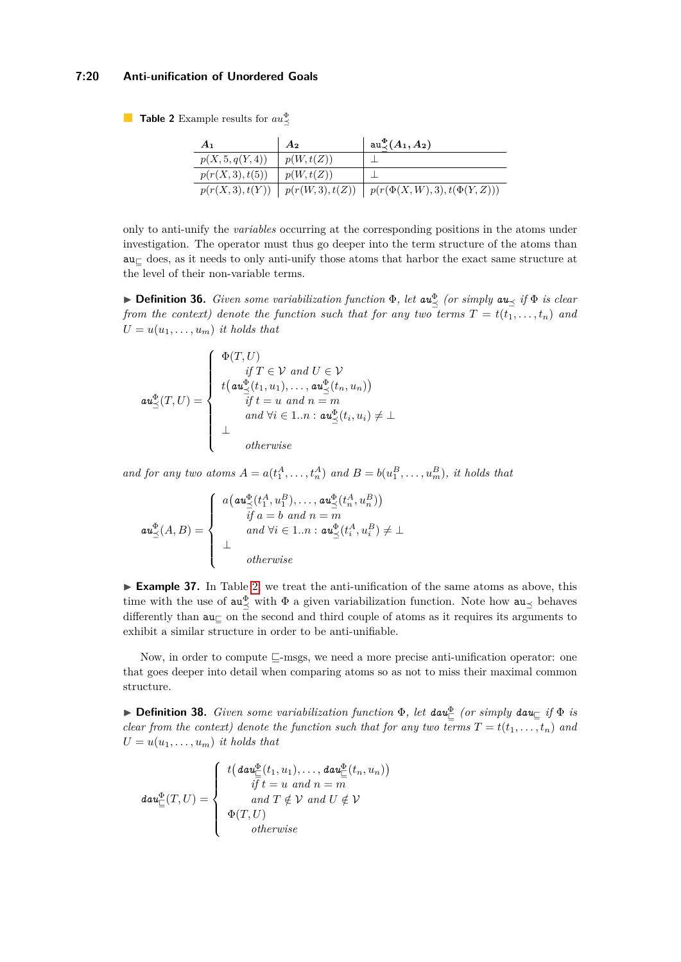## **7:20 Anti-unification of Unordered Goals**

<span id="page-19-0"></span>**Table 2** Example results for  $au^{\Phi}_{\leq}$ 

| A <sub>1</sub>   | A <sub>2</sub>        | $\mathrm{au}^{\Phi}_{\prec}(A_1,A_2)$  |
|------------------|-----------------------|----------------------------------------|
| p(X, 5, q(Y, 4)) | p(W, t(Z))            |                                        |
| p(r(X,3), t(5))  | p(W, t(Z))            |                                        |
| p(r(X, 3), t(Y)) | $\mid p(r(W,3),t(Z))$ | $  p(r(\Phi(X, W), 3), t(\Phi(Y, Z)))$ |

only to anti-unify the *variables* occurring at the corresponding positions in the atoms under investigation. The operator must thus go deeper into the term structure of the atoms than  $au<sub>z</sub>$  does, as it needs to only anti-unify those atoms that harbor the exact same structure at the level of their non-variable terms.

**Definition 36.** *Given some variabilization function*  $\Phi$ *, let*  $au^{\Phi}_{\preceq}$  *(or simply*  $au_{\preceq}$  *if*  $\Phi$  *is clear from the context) denote the function such that for any two terms*  $T = t(t_1, \ldots, t_n)$  and  $U = u(u_1, \ldots, u_m)$  *it holds that* 

$$
\mathbf{au}_{\preceq}^{\Phi}(T,U) = \begin{cases} \Phi(T,U) & \text{if } T \in \mathcal{V} \text{ and } U \in \mathcal{V} \\ t(\mathbf{au}_{\preceq}^{\Phi}(t_1, u_1), \dots, \mathbf{au}_{\preceq}^{\Phi}(t_n, u_n)) \\ \text{if } t = u \text{ and } n = m \\ \text{and } \forall i \in 1..n : \mathbf{au}_{\preceq}^{\Phi}(t_i, u_i) \neq \bot \\ \bot & \text{otherwise} \end{cases}
$$

*and for any two atoms*  $A = a(t_1^A, \ldots, t_n^A)$  *and*  $B = b(u_1^B, \ldots, u_m^B)$ *, it holds that* 

$$
\mathbf{au}_{\preceq}^{\Phi}(A,B) = \begin{cases} a\left(\mathbf{au}_{\preceq}^{\Phi}(t_1^A, u_1^B), \dots, \mathbf{au}_{\preceq}^{\Phi}(t_n^A, u_n^B)\right) \\ \quad \text{if } a = b \text{ and } n = m \\ \quad \text{and } \forall i \in 1..n : \mathbf{au}_{\preceq}^{\Phi}(t_i^A, u_i^B) \neq \bot \\ \bot \\ \quad \text{otherwise} \end{cases}
$$

► **Example 37.** In Table [2,](#page-19-0) we treat the anti-unification of the same atoms as above, this time with the use of  $au_{\leq}^{\Phi}$  with  $\Phi$  a given variabilization function. Note how  $au_{\leq}$  behaves differently than  $au_{\square}$  on the second and third couple of atoms as it requires its arguments to exhibit a similar structure in order to be anti-unifiable.

Now, in order to compute  $\sqsubset$ -msgs, we need a more precise anti-unification operator: one that goes deeper into detail when comparing atoms so as not to miss their maximal common structure.

**Definition 38.** *Given some variabilization function*  $\Phi$ *, let dau* $\frac{\Phi}{\Xi}$  *(or simply dau* $\frac{\pi}{\Xi}$  *if*  $\Phi$  *is clear from the context) denote the function such that for any two terms*  $T = t(t_1, \ldots, t_n)$  and  $U = u(u_1, \ldots, u_m)$  *it holds that* 

$$
d\mathbf{a}\mathbf{u}_{\square}^{\Phi}(T,U) = \begin{cases} t\big(\mathbf{d}\mathbf{a}\mathbf{u}_{\square}^{\Phi}(t_1,u_1),\ldots,\mathbf{d}\mathbf{a}\mathbf{u}_{\square}^{\Phi}(t_n,u_n)\big) \\ \quad\text{if } t = u \text{ and } n = m \\ \quad\text{and } T \notin \mathcal{V} \text{ and } U \notin \mathcal{V} \\ \Phi(T,U) \\ \quad\text{otherwise} \end{cases}
$$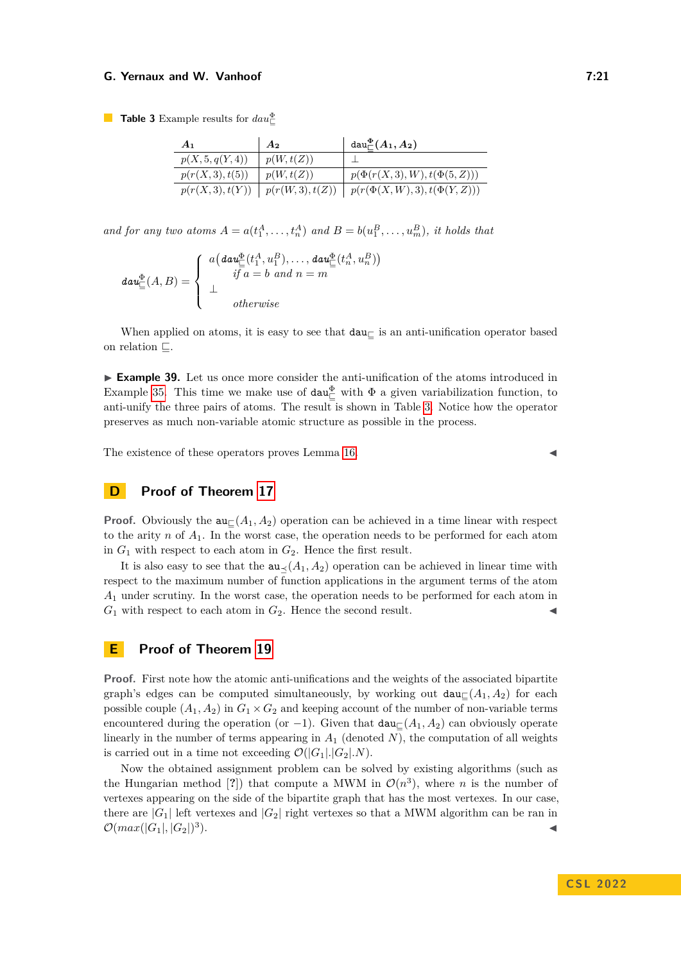<span id="page-20-0"></span>**Table 3** Example results for  $dau_{\square}^{\Phi}$ 

| A <sub>1</sub>   | A <sub>2</sub>   | $\text{dau}^{\Phi}_\sqcap(A_1,A_2)$  |
|------------------|------------------|--------------------------------------|
| p(X, 5, q(Y, 4)) | p(W,t(Z))        |                                      |
| p(r(X,3), t(5))  | p(W,t(Z))        | $p(\Phi(r(X, 3), W), t(\Phi(5, Z)))$ |
| p(r(X, 3), t(Y)) | p(r(W, 3), t(Z)) | $p(r(\Phi(X, W), 3), t(\Phi(Y, Z)))$ |

*and for any two atoms*  $A = a(t_1^A, \ldots, t_n^A)$  *and*  $B = b(u_1^B, \ldots, u_m^B)$ *, it holds that* 

$$
d\mathbf{a}\mathbf{u}_{\square}^{\Phi}(A,B) = \left\{ \begin{array}{l} a\big(\mathbf{d}\mathbf{a}\mathbf{u}_{\square}^{\Phi}(t_1^A, u_1^B), \dots, \mathbf{d}\mathbf{a}\mathbf{u}_{\square}^{\Phi}(t_n^A, u_n^B)\big) \\ \qquad \qquad if \ a=b \ and \ n=m \\ \qquad \qquad otherwise \end{array} \right.
$$

When applied on atoms, it is easy to see that  $dau<sub>\square</sub>$  is an anti-unification operator based on relation  $\Box$ .

**Example 39.** Let us once more consider the anti-unification of the atoms introduced in Example [35.](#page-18-2) This time we make use of  $dau_{\Box}^{\Phi}$  with  $\Phi$  a given variabilization function, to anti-unify the three pairs of atoms. The result is shown in Table [3.](#page-20-0) Notice how the operator preserves as much non-variable atomic structure as possible in the process.

The existence of these operators proves Lemma  $16$ .

# **D Proof of Theorem [17](#page-6-2)**

**Proof.** Obviously the  $\mathbf{a} \in (A_1, A_2)$  operation can be achieved in a time linear with respect to the arity *n* of *A*1. In the worst case, the operation needs to be performed for each atom in  $G_1$  with respect to each atom in  $G_2$ . Hence the first result.

It is also easy to see that the  $au \lt (A_1, A_2)$  operation can be achieved in linear time with respect to the maximum number of function applications in the argument terms of the atom *A*<sup>1</sup> under scrutiny. In the worst case, the operation needs to be performed for each atom in  $G_1$  with respect to each atom in  $G_2$ . Hence the second result.

# **E Proof of Theorem [19](#page-7-3)**

**Proof.** First note how the atomic anti-unifications and the weights of the associated bipartite graph's edges can be computed simultaneously, by working out  $dau_{\mathcal{L}}(A_1, A_2)$  for each possible couple  $(A_1, A_2)$  in  $G_1 \times G_2$  and keeping account of the number of non-variable terms encountered during the operation (or  $-1$ ). Given that  $dau<sub>⊏</sub>(A<sub>1</sub>, A<sub>2</sub>)$  can obviously operate linearly in the number of terms appearing in  $A_1$  (denoted  $N$ ), the computation of all weights is carried out in a time not exceeding  $\mathcal{O}(|G_1| |G_2| |N)$ .

Now the obtained assignment problem can be solved by existing algorithms (such as the Hungarian method [?]) that compute a MWM in  $\mathcal{O}(n^3)$ , where *n* is the number of vertexes appearing on the side of the bipartite graph that has the most vertexes. In our case, there are  $|G_1|$  left vertexes and  $|G_2|$  right vertexes so that a MWM algorithm can be ran in  $\mathcal{O}(max(|G_1|, |G_2|)^3)$  $\blacksquare$ ).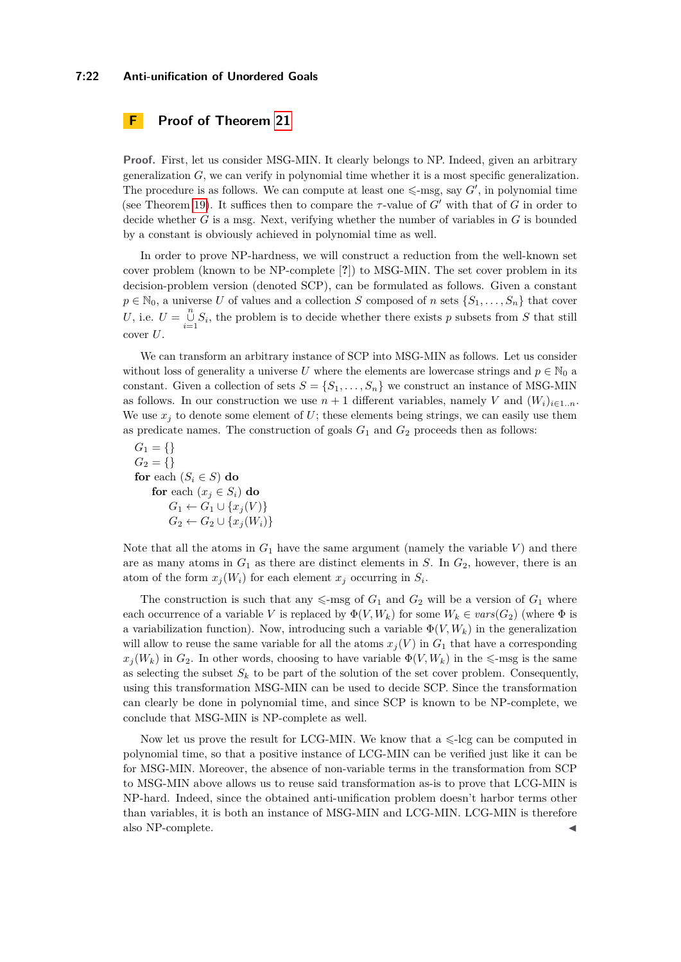#### **7:22 Anti-unification of Unordered Goals**

# **F Proof of Theorem [21](#page-8-2)**

**Proof.** First, let us consider MSG-MIN. It clearly belongs to NP. Indeed, given an arbitrary generalization *G*, we can verify in polynomial time whether it is a most specific generalization. The procedure is as follows. We can compute at least one  $\leq$ -msg, say *G'*, in polynomial time (see Theorem [19\)](#page-7-3). It suffices then to compare the  $\tau$ -value of  $G'$  with that of  $G$  in order to decide whether *G* is a msg. Next, verifying whether the number of variables in *G* is bounded by a constant is obviously achieved in polynomial time as well.

In order to prove NP-hardness, we will construct a reduction from the well-known set cover problem (known to be NP-complete [**?**]) to MSG-MIN. The set cover problem in its decision-problem version (denoted SCP), can be formulated as follows. Given a constant  $p \in \mathbb{N}_0$ , a universe *U* of values and a collection *S* composed of *n* sets  $\{S_1, \ldots, S_n\}$  that cover U, i.e.  $U = \bigcup_{i=1}^{n} S_i$ , the problem is to decide whether there exists *p* subsets from *S* that still cover *U*.

We can transform an arbitrary instance of SCP into MSG-MIN as follows. Let us consider without loss of generality a universe *U* where the elements are lowercase strings and  $p \in \mathbb{N}_0$  a constant. Given a collection of sets  $S = \{S_1, \ldots, S_n\}$  we construct an instance of MSG-MIN as follows. In our construction we use  $n+1$  different variables, namely *V* and  $(W_i)_{i\in 1..n}$ . We use  $x_j$  to denote some element of  $U$ ; these elements being strings, we can easily use them as predicate names. The construction of goals  $G_1$  and  $G_2$  proceeds then as follows:

$$
G_1 = \{\}
$$
  
\n
$$
G_2 = \{\}
$$
  
\nfor each  $(S_i \in S)$  do  
\nfor each  $(x_j \in S_i)$  do  
\n
$$
G_1 \leftarrow G_1 \cup \{x_j(V)\}
$$
  
\n
$$
G_2 \leftarrow G_2 \cup \{x_j(W_i)\}
$$

Note that all the atoms in  $G_1$  have the same argument (namely the variable  $V$ ) and there are as many atoms in  $G_1$  as there are distinct elements in  $S$ . In  $G_2$ , however, there is an atom of the form  $x_j(W_i)$  for each element  $x_j$  occurring in  $S_i$ .

The construction is such that any  $\leq$ -msg of  $G_1$  and  $G_2$  will be a version of  $G_1$  where each occurrence of a variable *V* is replaced by  $\Phi(V, W_k)$  for some  $W_k \in vars(G_2)$  (where  $\Phi$  is a variabilization function). Now, introducing such a variable  $\Phi(V, W_k)$  in the generalization will allow to reuse the same variable for all the atoms  $x_j(V)$  in  $G_1$  that have a corresponding  $x_j(W_k)$  in  $G_2$ . In other words, choosing to have variable  $\Phi(V, W_k)$  in the  $\leq$ -msg is the same as selecting the subset  $S_k$  to be part of the solution of the set cover problem. Consequently, using this transformation MSG-MIN can be used to decide SCP. Since the transformation can clearly be done in polynomial time, and since SCP is known to be NP-complete, we conclude that MSG-MIN is NP-complete as well.

Now let us prove the result for LCG-MIN. We know that  $a \leq -\log$  can be computed in polynomial time, so that a positive instance of LCG-MIN can be verified just like it can be for MSG-MIN. Moreover, the absence of non-variable terms in the transformation from SCP to MSG-MIN above allows us to reuse said transformation as-is to prove that LCG-MIN is NP-hard. Indeed, since the obtained anti-unification problem doesn't harbor terms other than variables, it is both an instance of MSG-MIN and LCG-MIN. LCG-MIN is therefore also NP-complete.